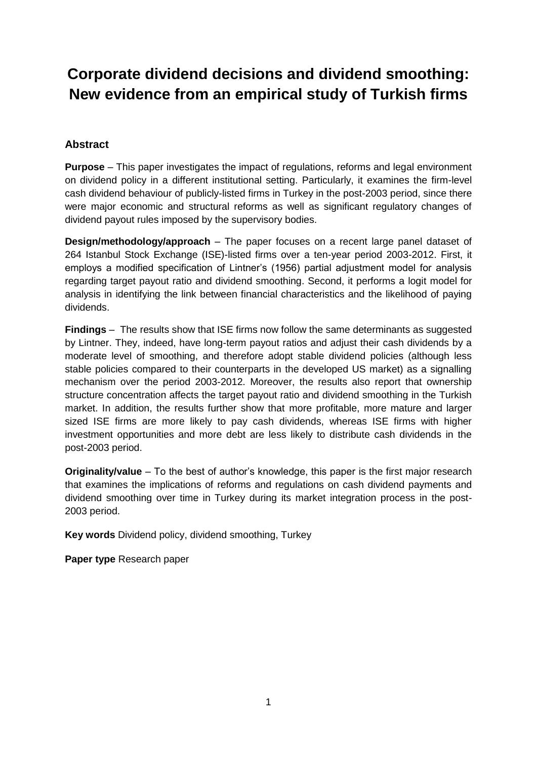# **Corporate dividend decisions and dividend smoothing: New evidence from an empirical study of Turkish firms**

## **Abstract**

**Purpose** – This paper investigates the impact of regulations, reforms and legal environment on dividend policy in a different institutional setting. Particularly, it examines the firm-level cash dividend behaviour of publicly-listed firms in Turkey in the post-2003 period, since there were major economic and structural reforms as well as significant regulatory changes of dividend payout rules imposed by the supervisory bodies.

**Design/methodology/approach** – The paper focuses on a recent large panel dataset of 264 Istanbul Stock Exchange (ISE)-listed firms over a ten-year period 2003-2012. First, it employs a modified specification of Lintner's (1956) partial adjustment model for analysis regarding target payout ratio and dividend smoothing. Second, it performs a logit model for analysis in identifying the link between financial characteristics and the likelihood of paying dividends.

**Findings** – The results show that ISE firms now follow the same determinants as suggested by Lintner. They, indeed, have long-term payout ratios and adjust their cash dividends by a moderate level of smoothing, and therefore adopt stable dividend policies (although less stable policies compared to their counterparts in the developed US market) as a signalling mechanism over the period 2003-2012. Moreover, the results also report that ownership structure concentration affects the target payout ratio and dividend smoothing in the Turkish market. In addition, the results further show that more profitable, more mature and larger sized ISE firms are more likely to pay cash dividends, whereas ISE firms with higher investment opportunities and more debt are less likely to distribute cash dividends in the post-2003 period.

**Originality/value** – To the best of author's knowledge, this paper is the first major research that examines the implications of reforms and regulations on cash dividend payments and dividend smoothing over time in Turkey during its market integration process in the post-2003 period.

**Key words** Dividend policy, dividend smoothing, Turkey

**Paper type** Research paper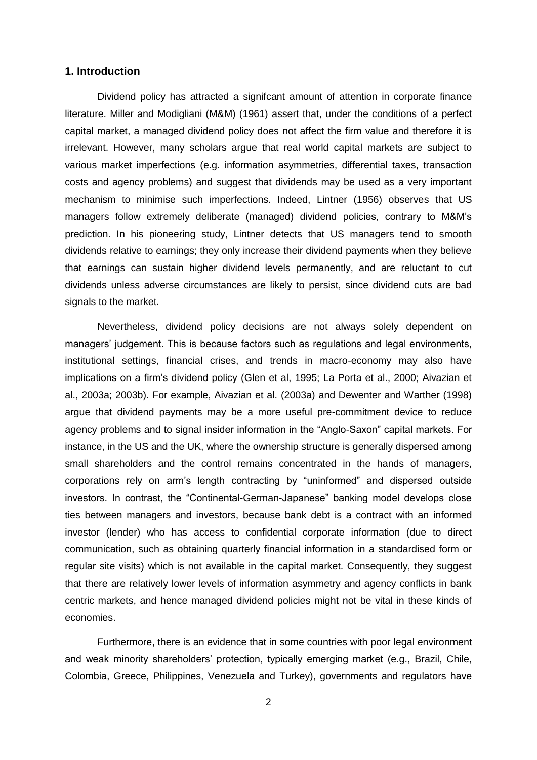#### **1. Introduction**

Dividend policy has attracted a signifcant amount of attention in corporate finance literature. Miller and Modigliani (M&M) (1961) assert that, under the conditions of a perfect capital market, a managed dividend policy does not affect the firm value and therefore it is irrelevant. However, many scholars argue that real world capital markets are subject to various market imperfections (e.g. information asymmetries, differential taxes, transaction costs and agency problems) and suggest that dividends may be used as a very important mechanism to minimise such imperfections. Indeed, Lintner (1956) observes that US managers follow extremely deliberate (managed) dividend policies, contrary to M&M's prediction. In his pioneering study, Lintner detects that US managers tend to smooth dividends relative to earnings; they only increase their dividend payments when they believe that earnings can sustain higher dividend levels permanently, and are reluctant to cut dividends unless adverse circumstances are likely to persist, since dividend cuts are bad signals to the market.

Nevertheless, dividend policy decisions are not always solely dependent on managers' judgement. This is because factors such as regulations and legal environments, institutional settings, financial crises, and trends in macro-economy may also have implications on a firm's dividend policy (Glen et al, 1995; La Porta et al., 2000; Aivazian et al., 2003a; 2003b). For example, Aivazian et al. (2003a) and Dewenter and Warther (1998) argue that dividend payments may be a more useful pre-commitment device to reduce agency problems and to signal insider information in the "Anglo-Saxon" capital markets. For instance, in the US and the UK, where the ownership structure is generally dispersed among small shareholders and the control remains concentrated in the hands of managers, corporations rely on arm's length contracting by "uninformed" and dispersed outside investors. In contrast, the "Continental-German-Japanese" banking model develops close ties between managers and investors, because bank debt is a contract with an informed investor (lender) who has access to confidential corporate information (due to direct communication, such as obtaining quarterly financial information in a standardised form or regular site visits) which is not available in the capital market. Consequently, they suggest that there are relatively lower levels of information asymmetry and agency conflicts in bank centric markets, and hence managed dividend policies might not be vital in these kinds of economies.

Furthermore, there is an evidence that in some countries with poor legal environment and weak minority shareholders' protection, typically emerging market (e.g., Brazil, Chile, Colombia, Greece, Philippines, Venezuela and Turkey), governments and regulators have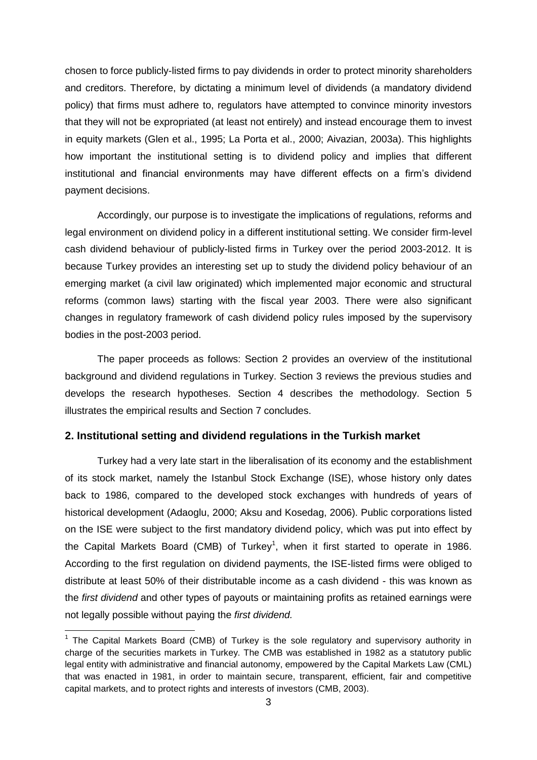chosen to force publicly-listed firms to pay dividends in order to protect minority shareholders and creditors. Therefore, by dictating a minimum level of dividends (a mandatory dividend policy) that firms must adhere to, regulators have attempted to convince minority investors that they will not be expropriated (at least not entirely) and instead encourage them to invest in equity markets (Glen et al., 1995; La Porta et al., 2000; Aivazian, 2003a). This highlights how important the institutional setting is to dividend policy and implies that different institutional and financial environments may have different effects on a firm's dividend payment decisions.

Accordingly, our purpose is to investigate the implications of regulations, reforms and legal environment on dividend policy in a different institutional setting. We consider firm-level cash dividend behaviour of publicly-listed firms in Turkey over the period 2003-2012. It is because Turkey provides an interesting set up to study the dividend policy behaviour of an emerging market (a civil law originated) which implemented major economic and structural reforms (common laws) starting with the fiscal year 2003. There were also significant changes in regulatory framework of cash dividend policy rules imposed by the supervisory bodies in the post-2003 period.

The paper proceeds as follows: Section 2 provides an overview of the institutional background and dividend regulations in Turkey. Section 3 reviews the previous studies and develops the research hypotheses. Section 4 describes the methodology. Section 5 illustrates the empirical results and Section 7 concludes.

#### **2. Institutional setting and dividend regulations in the Turkish market**

Turkey had a very late start in the liberalisation of its economy and the establishment of its stock market, namely the Istanbul Stock Exchange (ISE), whose history only dates back to 1986, compared to the developed stock exchanges with hundreds of years of historical development (Adaoglu, 2000; Aksu and Kosedag, 2006). Public corporations listed on the ISE were subject to the first mandatory dividend policy, which was put into effect by the Capital Markets Board (CMB) of Turkey<sup>1</sup>, when it first started to operate in 1986. According to the first regulation on dividend payments, the ISE-listed firms were obliged to distribute at least 50% of their distributable income as a cash dividend - this was known as the *first dividend* and other types of payouts or maintaining profits as retained earnings were not legally possible without paying the *first dividend.* 

**.** 

 $1$  The Capital Markets Board (CMB) of Turkey is the sole regulatory and supervisory authority in charge of the securities markets in Turkey. The CMB was established in 1982 as a statutory public legal entity with administrative and financial autonomy, empowered by the Capital Markets Law (CML) that was enacted in 1981, in order to maintain secure, transparent, efficient, fair and competitive capital markets, and to protect rights and interests of investors (CMB, 2003).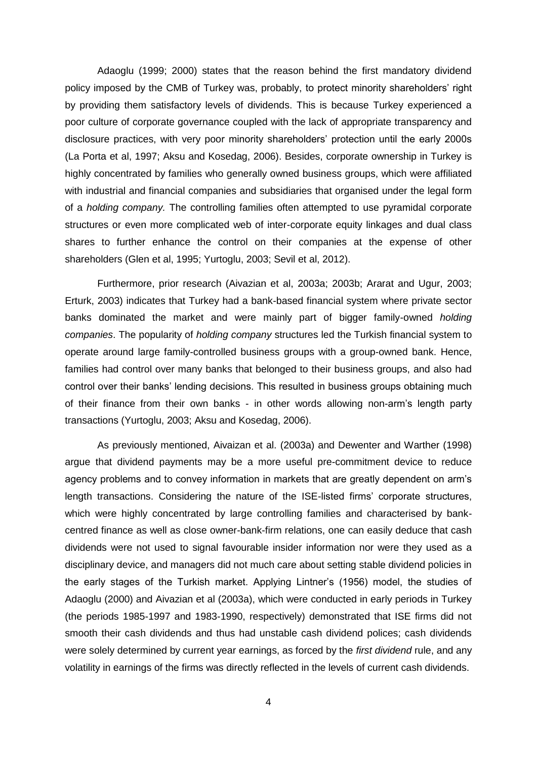Adaoglu (1999; 2000) states that the reason behind the first mandatory dividend policy imposed by the CMB of Turkey was, probably, to protect minority shareholders' right by providing them satisfactory levels of dividends. This is because Turkey experienced a poor culture of corporate governance coupled with the lack of appropriate transparency and disclosure practices, with very poor minority shareholders' protection until the early 2000s (La Porta et al, 1997; Aksu and Kosedag, 2006). Besides, corporate ownership in Turkey is highly concentrated by families who generally owned business groups, which were affiliated with industrial and financial companies and subsidiaries that organised under the legal form of a *holding company.* The controlling families often attempted to use pyramidal corporate structures or even more complicated web of inter-corporate equity linkages and dual class shares to further enhance the control on their companies at the expense of other shareholders (Glen et al, 1995; Yurtoglu, 2003; Sevil et al, 2012).

Furthermore, prior research (Aivazian et al, 2003a; 2003b; Ararat and Ugur, 2003; Erturk, 2003) indicates that Turkey had a bank-based financial system where private sector banks dominated the market and were mainly part of bigger family-owned *holding companies*. The popularity of *holding company* structures led the Turkish financial system to operate around large family-controlled business groups with a group-owned bank. Hence, families had control over many banks that belonged to their business groups, and also had control over their banks' lending decisions. This resulted in business groups obtaining much of their finance from their own banks - in other words allowing non-arm's length party transactions (Yurtoglu, 2003; Aksu and Kosedag, 2006).

As previously mentioned, Aivaizan et al. (2003a) and Dewenter and Warther (1998) argue that dividend payments may be a more useful pre-commitment device to reduce agency problems and to convey information in markets that are greatly dependent on arm's length transactions. Considering the nature of the ISE-listed firms' corporate structures, which were highly concentrated by large controlling families and characterised by bankcentred finance as well as close owner-bank-firm relations, one can easily deduce that cash dividends were not used to signal favourable insider information nor were they used as a disciplinary device, and managers did not much care about setting stable dividend policies in the early stages of the Turkish market. Applying Lintner's (1956) model, the studies of Adaoglu (2000) and Aivazian et al (2003a), which were conducted in early periods in Turkey (the periods 1985-1997 and 1983-1990, respectively) demonstrated that ISE firms did not smooth their cash dividends and thus had unstable cash dividend polices; cash dividends were solely determined by current year earnings, as forced by the *first dividend* rule, and any volatility in earnings of the firms was directly reflected in the levels of current cash dividends.

4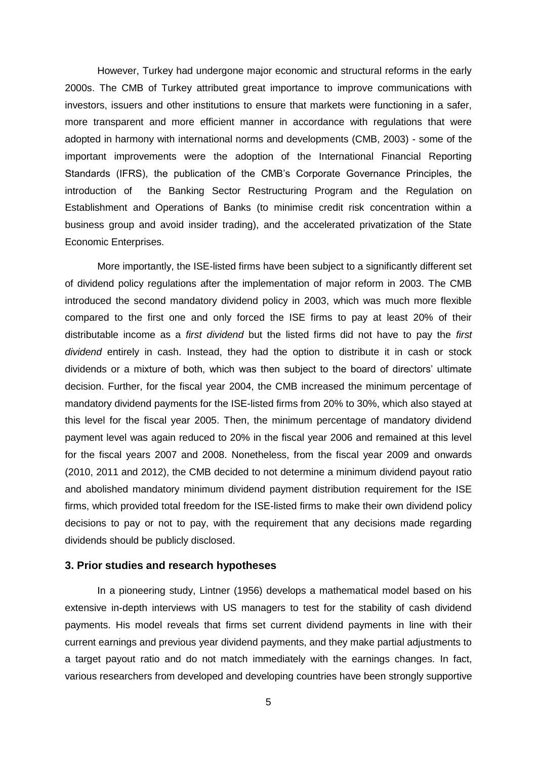However, Turkey had undergone major economic and structural reforms in the early 2000s. The CMB of Turkey attributed great importance to improve communications with investors, issuers and other institutions to ensure that markets were functioning in a safer, more transparent and more efficient manner in accordance with regulations that were adopted in harmony with international norms and developments (CMB, 2003) - some of the important improvements were the adoption of the International Financial Reporting Standards (IFRS), the publication of the CMB's Corporate Governance Principles, the introduction of the Banking Sector Restructuring Program and the Regulation on Establishment and Operations of Banks (to minimise credit risk concentration within a business group and avoid insider trading), and the accelerated privatization of the State Economic Enterprises.

More importantly, the ISE-listed firms have been subject to a significantly different set of dividend policy regulations after the implementation of major reform in 2003. The CMB introduced the second mandatory dividend policy in 2003, which was much more flexible compared to the first one and only forced the ISE firms to pay at least 20% of their distributable income as a *first dividend* but the listed firms did not have to pay the *first dividend* entirely in cash. Instead, they had the option to distribute it in cash or stock dividends or a mixture of both, which was then subject to the board of directors' ultimate decision. Further, for the fiscal year 2004, the CMB increased the minimum percentage of mandatory dividend payments for the ISE-listed firms from 20% to 30%, which also stayed at this level for the fiscal year 2005. Then, the minimum percentage of mandatory dividend payment level was again reduced to 20% in the fiscal year 2006 and remained at this level for the fiscal years 2007 and 2008. Nonetheless, from the fiscal year 2009 and onwards (2010, 2011 and 2012), the CMB decided to not determine a minimum dividend payout ratio and abolished mandatory minimum dividend payment distribution requirement for the ISE firms, which provided total freedom for the ISE-listed firms to make their own dividend policy decisions to pay or not to pay, with the requirement that any decisions made regarding dividends should be publicly disclosed.

#### **3. Prior studies and research hypotheses**

In a pioneering study, Lintner (1956) develops a mathematical model based on his extensive in-depth interviews with US managers to test for the stability of cash dividend payments. His model reveals that firms set current dividend payments in line with their current earnings and previous year dividend payments, and they make partial adjustments to a target payout ratio and do not match immediately with the earnings changes. In fact, various researchers from developed and developing countries have been strongly supportive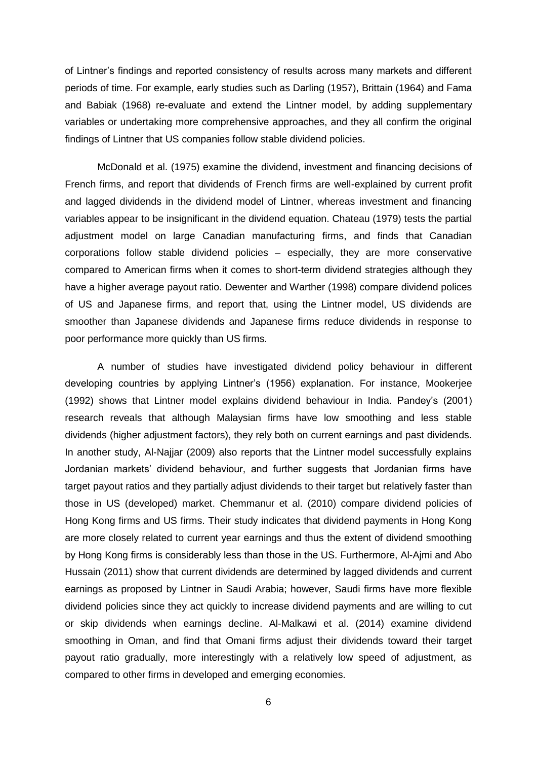of Lintner's findings and reported consistency of results across many markets and different periods of time. For example, early studies such as Darling (1957), Brittain (1964) and Fama and Babiak (1968) re-evaluate and extend the Lintner model, by adding supplementary variables or undertaking more comprehensive approaches, and they all confirm the original findings of Lintner that US companies follow stable dividend policies.

McDonald et al. (1975) examine the dividend, investment and financing decisions of French firms, and report that dividends of French firms are well-explained by current profit and lagged dividends in the dividend model of Lintner, whereas investment and financing variables appear to be insignificant in the dividend equation. Chateau (1979) tests the partial adjustment model on large Canadian manufacturing firms, and finds that Canadian corporations follow stable dividend policies – especially, they are more conservative compared to American firms when it comes to short-term dividend strategies although they have a higher average payout ratio. Dewenter and Warther (1998) compare dividend polices of US and Japanese firms, and report that, using the Lintner model, US dividends are smoother than Japanese dividends and Japanese firms reduce dividends in response to poor performance more quickly than US firms.

A number of studies have investigated dividend policy behaviour in different developing countries by applying Lintner's (1956) explanation. For instance, Mookerjee (1992) shows that Lintner model explains dividend behaviour in India. Pandey's (2001) research reveals that although Malaysian firms have low smoothing and less stable dividends (higher adjustment factors), they rely both on current earnings and past dividends. In another study, Al-Najjar (2009) also reports that the Lintner model successfully explains Jordanian markets' dividend behaviour, and further suggests that Jordanian firms have target payout ratios and they partially adjust dividends to their target but relatively faster than those in US (developed) market. Chemmanur et al. (2010) compare dividend policies of Hong Kong firms and US firms. Their study indicates that dividend payments in Hong Kong are more closely related to current year earnings and thus the extent of dividend smoothing by Hong Kong firms is considerably less than those in the US. Furthermore, Al-Ajmi and Abo Hussain (2011) show that current dividends are determined by lagged dividends and current earnings as proposed by Lintner in Saudi Arabia; however, Saudi firms have more flexible dividend policies since they act quickly to increase dividend payments and are willing to cut or skip dividends when earnings decline. Al-Malkawi et al. (2014) examine dividend smoothing in Oman, and find that Omani firms adjust their dividends toward their target payout ratio gradually, more interestingly with a relatively low speed of adjustment, as compared to other firms in developed and emerging economies.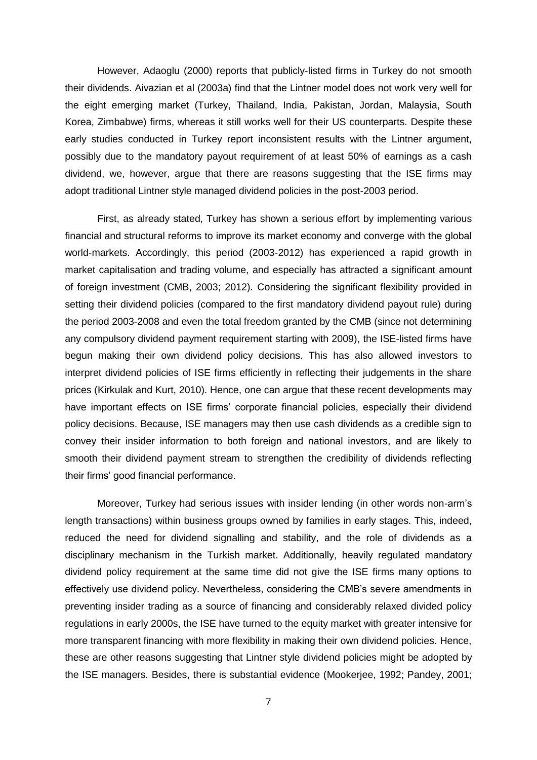However, Adaoglu (2000) reports that publicly-listed firms in Turkey do not smooth their dividends. Aivazian et al (2003a) find that the Lintner model does not work very well for the eight emerging market (Turkey, Thailand, India, Pakistan, Jordan, Malaysia, South Korea, Zimbabwe) firms, whereas it still works well for their US counterparts. Despite these early studies conducted in Turkey report inconsistent results with the Lintner argument, possibly due to the mandatory payout requirement of at least 50% of earnings as a cash dividend, we, however, argue that there are reasons suggesting that the ISE firms may adopt traditional Lintner style managed dividend policies in the post-2003 period.

First, as already stated, Turkey has shown a serious effort by implementing various financial and structural reforms to improve its market economy and converge with the global world-markets. Accordingly, this period (2003-2012) has experienced a rapid growth in market capitalisation and trading volume, and especially has attracted a significant amount of foreign investment (CMB, 2003; 2012). Considering the significant flexibility provided in setting their dividend policies (compared to the first mandatory dividend payout rule) during the period 2003-2008 and even the total freedom granted by the CMB (since not determining any compulsory dividend payment requirement starting with 2009), the ISE-listed firms have begun making their own dividend policy decisions. This has also allowed investors to interpret dividend policies of ISE firms efficiently in reflecting their judgements in the share prices (Kirkulak and Kurt, 2010). Hence, one can argue that these recent developments may have important effects on ISE firms' corporate financial policies, especially their dividend policy decisions. Because, ISE managers may then use cash dividends as a credible sign to convey their insider information to both foreign and national investors, and are likely to smooth their dividend payment stream to strengthen the credibility of dividends reflecting their firms' good financial performance.

Moreover, Turkey had serious issues with insider lending (in other words non-arm's length transactions) within business groups owned by families in early stages. This, indeed, reduced the need for dividend signalling and stability, and the role of dividends as a disciplinary mechanism in the Turkish market. Additionally, heavily regulated mandatory dividend policy requirement at the same time did not give the ISE firms many options to effectively use dividend policy. Nevertheless, considering the CMB's severe amendments in preventing insider trading as a source of financing and considerably relaxed divided policy regulations in early 2000s, the ISE have turned to the equity market with greater intensive for more transparent financing with more flexibility in making their own dividend policies. Hence, these are other reasons suggesting that Lintner style dividend policies might be adopted by the ISE managers. Besides, there is substantial evidence (Mookerjee, 1992; Pandey, 2001;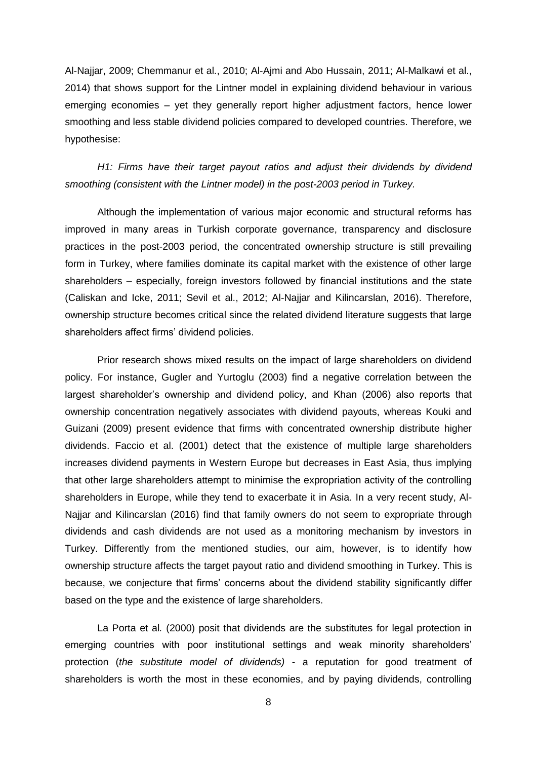Al-Najjar, 2009; Chemmanur et al., 2010; Al-Ajmi and Abo Hussain, 2011; Al-Malkawi et al., 2014) that shows support for the Lintner model in explaining dividend behaviour in various emerging economies – yet they generally report higher adjustment factors, hence lower smoothing and less stable dividend policies compared to developed countries. Therefore, we hypothesise:

*H1: Firms have their target payout ratios and adjust their dividends by dividend smoothing (consistent with the Lintner model) in the post-2003 period in Turkey.* 

Although the implementation of various major economic and structural reforms has improved in many areas in Turkish corporate governance, transparency and disclosure practices in the post-2003 period, the concentrated ownership structure is still prevailing form in Turkey, where families dominate its capital market with the existence of other large shareholders – especially, foreign investors followed by financial institutions and the state (Caliskan and Icke, 2011; Sevil et al., 2012; Al-Najjar and Kilincarslan, 2016). Therefore, ownership structure becomes critical since the related dividend literature suggests that large shareholders affect firms' dividend policies.

Prior research shows mixed results on the impact of large shareholders on dividend policy. For instance, Gugler and Yurtoglu (2003) find a negative correlation between the largest shareholder's ownership and dividend policy, and Khan (2006) also reports that ownership concentration negatively associates with dividend payouts, whereas Kouki and Guizani (2009) present evidence that firms with concentrated ownership distribute higher dividends. Faccio et al. (2001) detect that the existence of multiple large shareholders increases dividend payments in Western Europe but decreases in East Asia, thus implying that other large shareholders attempt to minimise the expropriation activity of the controlling shareholders in Europe, while they tend to exacerbate it in Asia. In a very recent study, Al-Najjar and Kilincarslan (2016) find that family owners do not seem to expropriate through dividends and cash dividends are not used as a monitoring mechanism by investors in Turkey. Differently from the mentioned studies, our aim, however, is to identify how ownership structure affects the target payout ratio and dividend smoothing in Turkey. This is because, we conjecture that firms' concerns about the dividend stability significantly differ based on the type and the existence of large shareholders.

La Porta et al*.* (2000) posit that dividends are the substitutes for legal protection in emerging countries with poor institutional settings and weak minority shareholders' protection (*the substitute model of dividends)* - a reputation for good treatment of shareholders is worth the most in these economies, and by paying dividends, controlling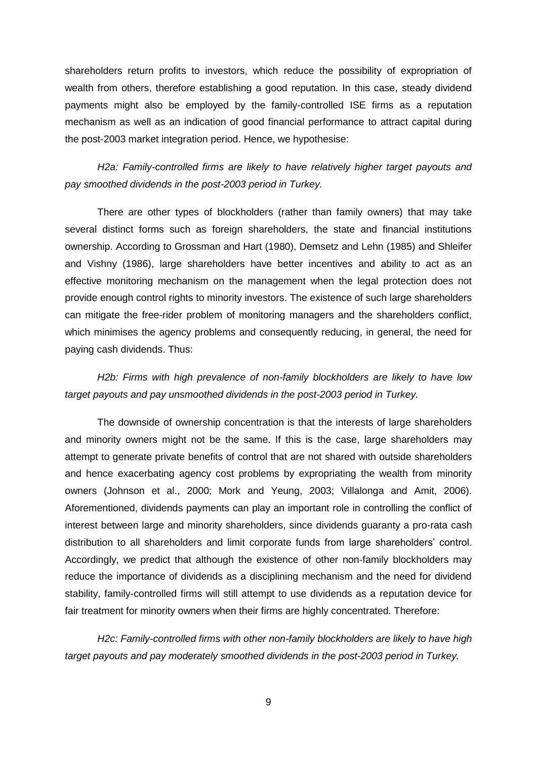shareholders return profits to investors, which reduce the possibility of expropriation of wealth from others, therefore establishing a good reputation. In this case, steady dividend payments might also be employed by the family-controlled ISE firms as a reputation mechanism as well as an indication of good financial performance to attract capital during the post-2003 market integration period. Hence, we hypothesise:

*H2a: Family-controlled firms are likely to have relatively higher target payouts and pay smoothed dividends in the post-2003 period in Turkey.* 

There are other types of blockholders (rather than family owners) that may take several distinct forms such as foreign shareholders, the state and financial institutions ownership. According to Grossman and Hart (1980), Demsetz and Lehn (1985) and Shleifer and Vishny (1986), large shareholders have better incentives and ability to act as an effective monitoring mechanism on the management when the legal protection does not provide enough control rights to minority investors. The existence of such large shareholders can mitigate the free-rider problem of monitoring managers and the shareholders conflict, which minimises the agency problems and consequently reducing, in general, the need for paying cash dividends. Thus:

*H2b: Firms with high prevalence of non-family blockholders are likely to have low target payouts and pay unsmoothed dividends in the post-2003 period in Turkey.* 

The downside of ownership concentration is that the interests of large shareholders and minority owners might not be the same. If this is the case, large shareholders may attempt to generate private benefits of control that are not shared with outside shareholders and hence exacerbating agency cost problems by expropriating the wealth from minority owners (Johnson et al., 2000; Mork and Yeung, 2003; Villalonga and Amit, 2006). Aforementioned, dividends payments can play an important role in controlling the conflict of interest between large and minority shareholders, since dividends guaranty a pro-rata cash distribution to all shareholders and limit corporate funds from large shareholders' control. Accordingly, we predict that although the existence of other non-family blockholders may reduce the importance of dividends as a disciplining mechanism and the need for dividend stability, family-controlled firms will still attempt to use dividends as a reputation device for fair treatment for minority owners when their firms are highly concentrated. Therefore:

*H2c: Family-controlled firms with other non-family blockholders are likely to have high target payouts and pay moderately smoothed dividends in the post-2003 period in Turkey.*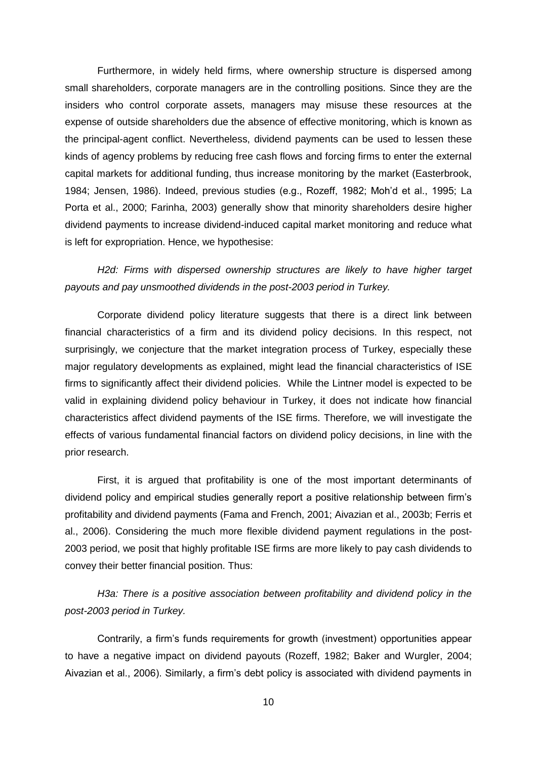Furthermore, in widely held firms, where ownership structure is dispersed among small shareholders, corporate managers are in the controlling positions. Since they are the insiders who control corporate assets, managers may misuse these resources at the expense of outside shareholders due the absence of effective monitoring, which is known as the principal-agent conflict. Nevertheless, dividend payments can be used to lessen these kinds of agency problems by reducing free cash flows and forcing firms to enter the external capital markets for additional funding, thus increase monitoring by the market (Easterbrook, 1984; Jensen, 1986). Indeed, previous studies (e.g., Rozeff, 1982; Moh'd et al., 1995; La Porta et al., 2000; Farinha, 2003) generally show that minority shareholders desire higher dividend payments to increase dividend-induced capital market monitoring and reduce what is left for expropriation. Hence, we hypothesise:

*H2d: Firms with dispersed ownership structures are likely to have higher target payouts and pay unsmoothed dividends in the post-2003 period in Turkey.* 

Corporate dividend policy literature suggests that there is a direct link between financial characteristics of a firm and its dividend policy decisions. In this respect, not surprisingly, we conjecture that the market integration process of Turkey, especially these major regulatory developments as explained, might lead the financial characteristics of ISE firms to significantly affect their dividend policies. While the Lintner model is expected to be valid in explaining dividend policy behaviour in Turkey, it does not indicate how financial characteristics affect dividend payments of the ISE firms. Therefore, we will investigate the effects of various fundamental financial factors on dividend policy decisions, in line with the prior research.

First, it is argued that profitability is one of the most important determinants of dividend policy and empirical studies generally report a positive relationship between firm's profitability and dividend payments (Fama and French, 2001; Aivazian et al., 2003b; Ferris et al., 2006). Considering the much more flexible dividend payment regulations in the post-2003 period, we posit that highly profitable ISE firms are more likely to pay cash dividends to convey their better financial position. Thus:

*H3a: There is a positive association between profitability and dividend policy in the post-2003 period in Turkey.* 

Contrarily, a firm's funds requirements for growth (investment) opportunities appear to have a negative impact on dividend payouts (Rozeff, 1982; Baker and Wurgler, 2004; Aivazian et al., 2006). Similarly, a firm's debt policy is associated with dividend payments in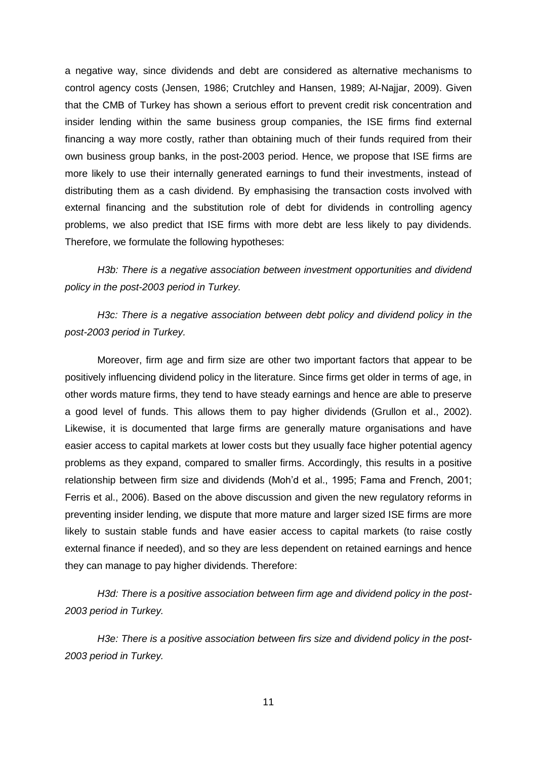a negative way, since dividends and debt are considered as alternative mechanisms to control agency costs (Jensen, 1986; Crutchley and Hansen, 1989; Al-Najjar, 2009). Given that the CMB of Turkey has shown a serious effort to prevent credit risk concentration and insider lending within the same business group companies, the ISE firms find external financing a way more costly, rather than obtaining much of their funds required from their own business group banks, in the post-2003 period. Hence, we propose that ISE firms are more likely to use their internally generated earnings to fund their investments, instead of distributing them as a cash dividend. By emphasising the transaction costs involved with external financing and the substitution role of debt for dividends in controlling agency problems, we also predict that ISE firms with more debt are less likely to pay dividends. Therefore, we formulate the following hypotheses:

*H3b: There is a negative association between investment opportunities and dividend policy in the post-2003 period in Turkey.*

*H3c: There is a negative association between debt policy and dividend policy in the post-2003 period in Turkey.* 

Moreover, firm age and firm size are other two important factors that appear to be positively influencing dividend policy in the literature. Since firms get older in terms of age, in other words mature firms, they tend to have steady earnings and hence are able to preserve a good level of funds. This allows them to pay higher dividends (Grullon et al., 2002). Likewise, it is documented that large firms are generally mature organisations and have easier access to capital markets at lower costs but they usually face higher potential agency problems as they expand, compared to smaller firms. Accordingly, this results in a positive relationship between firm size and dividends (Moh'd et al., 1995; Fama and French, 2001; Ferris et al., 2006). Based on the above discussion and given the new regulatory reforms in preventing insider lending, we dispute that more mature and larger sized ISE firms are more likely to sustain stable funds and have easier access to capital markets (to raise costly external finance if needed), and so they are less dependent on retained earnings and hence they can manage to pay higher dividends. Therefore:

*H3d: There is a positive association between firm age and dividend policy in the post-2003 period in Turkey.*

*H3e: There is a positive association between firs size and dividend policy in the post-2003 period in Turkey.*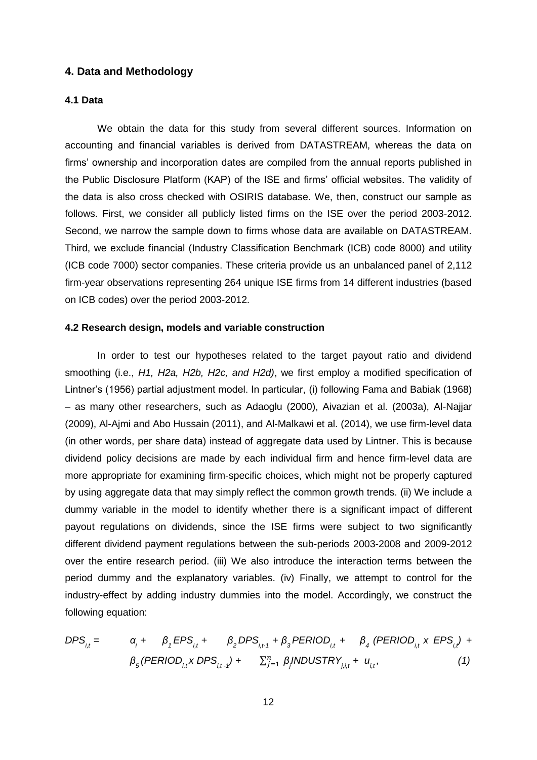#### **4. Data and Methodology**

#### **4.1 Data**

We obtain the data for this study from several different sources. Information on accounting and financial variables is derived from DATASTREAM, whereas the data on firms' ownership and incorporation dates are compiled from the annual reports published in the Public Disclosure Platform (KAP) of the ISE and firms' official websites. The validity of the data is also cross checked with OSIRIS database. We, then, construct our sample as follows. First, we consider all publicly listed firms on the ISE over the period 2003-2012. Second, we narrow the sample down to firms whose data are available on DATASTREAM. Third, we exclude financial (Industry Classification Benchmark (ICB) code 8000) and utility (ICB code 7000) sector companies. These criteria provide us an unbalanced panel of 2,112 firm-year observations representing 264 unique ISE firms from 14 different industries (based on ICB codes) over the period 2003-2012.

#### **4.2 Research design, models and variable construction**

In order to test our hypotheses related to the target payout ratio and dividend smoothing (i.e., *H1, H2a, H2b, H2c, and H2d)*, we first employ a modified specification of Lintner's (1956) partial adjustment model. In particular, (i) following Fama and Babiak (1968) – as many other researchers, such as Adaoglu (2000), Aivazian et al. (2003a), Al-Najjar (2009), Al-Ajmi and Abo Hussain (2011), and Al-Malkawi et al. (2014), we use firm-level data (in other words, per share data) instead of aggregate data used by Lintner. This is because dividend policy decisions are made by each individual firm and hence firm-level data are more appropriate for examining firm-specific choices, which might not be properly captured by using aggregate data that may simply reflect the common growth trends. (ii) We include a dummy variable in the model to identify whether there is a significant impact of different payout regulations on dividends, since the ISE firms were subject to two significantly different dividend payment regulations between the sub-periods 2003-2008 and 2009-2012 over the entire research period. (iii) We also introduce the interaction terms between the period dummy and the explanatory variables. (iv) Finally, we attempt to control for the industry-effect by adding industry dummies into the model. Accordingly, we construct the following equation:

$$
DPS_{i,t} = \alpha_i + \beta_i EPS_{i,t} + \beta_2 DPS_{i,t+1} + \beta_3 PERIOD_{i,t} + \beta_4 (PERIOD_{i,t} \times EPS_{i,t}) + \beta_5 (PERIOD_{i,t} \times DPS_{i,t-1}) + \sum_{j=1}^n \beta_j INDUSTRY_{j,t} + u_{i,t},
$$
 (1)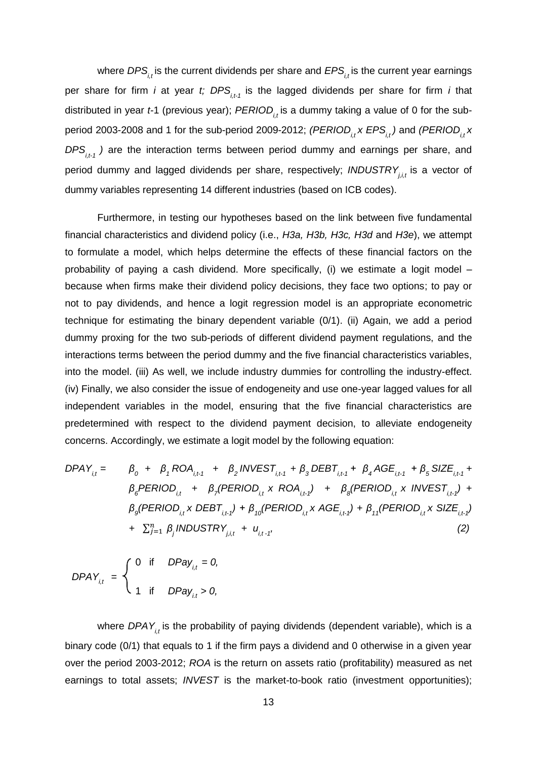where *DPS<sub>it</sub>* is the current dividends per share and *EPS<sub>it</sub>* is the current year earnings per share for firm *i* at year *t*; DPS<sub>*i*,<sup>1</sup></sub> is the lagged dividends per share for firm *i* that distributed in year *t*-1 (previous year); *PERIOD<sub>it</sub>* is a dummy taking a value of 0 for the subperiod 2003-2008 and 1 for the sub-period 2009-2012; *(PERIODi,t x EPSi,t )* and *(PERIODi,t x DPSi,t-1 )* are the interaction terms between period dummy and earnings per share, and period dummy and lagged dividends per share, respectively; *INDUSTRY<sub>itt</sub>* is a vector of dummy variables representing 14 different industries (based on ICB codes).

Furthermore, in testing our hypotheses based on the link between five fundamental financial characteristics and dividend policy (i.e., *H3a, H3b, H3c, H3d* and *H3e*), we attempt to formulate a model, which helps determine the effects of these financial factors on the probability of paying a cash dividend. More specifically, (i) we estimate a logit model – because when firms make their dividend policy decisions, they face two options; to pay or not to pay dividends, and hence a logit regression model is an appropriate econometric technique for estimating the binary dependent variable (0/1). (ii) Again, we add a period dummy proxing for the two sub-periods of different dividend payment regulations, and the interactions terms between the period dummy and the five financial characteristics variables, into the model. (iii) As well, we include industry dummies for controlling the industry-effect. (iv) Finally, we also consider the issue of endogeneity and use one-year lagged values for all independent variables in the model, ensuring that the five financial characteristics are predetermined with respect to the dividend payment decision, to alleviate endogeneity concerns. Accordingly, we estimate a logit model by the following equation:

$$
DPAY_{i,t} = \beta_0 + \beta_1 ROA_{i,t} + \beta_2 INVEST_{i,t} + \beta_3 DEBT_{i,t} + \beta_4 AGE_{i,t} + \beta_5 SIZE_{i,t} + \beta_6 PERIOD_{i,t} + \beta_7 (PERIOD_{i,t} \times ROA_{i,t}) + \beta_8 (PERIOD_{i,t} \times INVEST_{i,t}) + \beta_9 (PERIOD_{i,t} \times DEBT_{i,t}) + \beta_{10} (PERIOD_{i,t} \times AGE_{i,t}) + \beta_{11} (PERIOD_{i,t} \times SIZE_{i,t}) + \sum_{j=1}^{n} \beta_j INDUSTRY_{j,i,t} + u_{i,t-j}
$$
\n(2)

 $\int$  0 if DPay<sub>i,t</sub> = 0, *DPAYi,t =*  **1** if  $DPay_{i,t} > 0$ ,

where *DPAY<sub>it</sub>* is the probability of paying dividends (dependent variable), which is a binary code (0/1) that equals to 1 if the firm pays a dividend and 0 otherwise in a given year over the period 2003-2012; *ROA* is the return on assets ratio (profitability) measured as net earnings to total assets; *INVEST* is the market-to-book ratio (investment opportunities);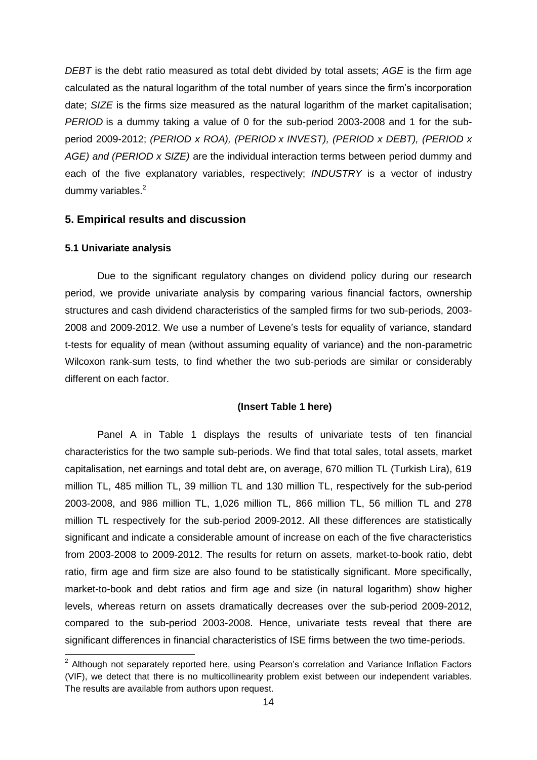*DEBT* is the debt ratio measured as total debt divided by total assets; *AGE* is the firm age calculated as the natural logarithm of the total number of years since the firm's incorporation date; *SIZE* is the firms size measured as the natural logarithm of the market capitalisation; *PERIOD* is a dummy taking a value of 0 for the sub-period 2003-2008 and 1 for the subperiod 2009-2012; *(PERIOD x ROA), (PERIOD x INVEST), (PERIOD x DEBT), (PERIOD x AGE) and (PERIOD x SIZE)* are the individual interaction terms between period dummy and each of the five explanatory variables, respectively; *INDUSTRY* is a vector of industry dummy variables.<sup>2</sup>

#### **5. Empirical results and discussion**

#### **5.1 Univariate analysis**

 $\overline{a}$ 

Due to the significant regulatory changes on dividend policy during our research period, we provide univariate analysis by comparing various financial factors, ownership structures and cash dividend characteristics of the sampled firms for two sub-periods, 2003- 2008 and 2009-2012. We use a number of Levene's tests for equality of variance, standard t-tests for equality of mean (without assuming equality of variance) and the non-parametric Wilcoxon rank-sum tests, to find whether the two sub-periods are similar or considerably different on each factor.

#### **(Insert Table 1 here)**

Panel A in Table 1 displays the results of univariate tests of ten financial characteristics for the two sample sub-periods. We find that total sales, total assets, market capitalisation, net earnings and total debt are, on average, 670 million TL (Turkish Lira), 619 million TL, 485 million TL, 39 million TL and 130 million TL, respectively for the sub-period 2003-2008, and 986 million TL, 1,026 million TL, 866 million TL, 56 million TL and 278 million TL respectively for the sub-period 2009-2012. All these differences are statistically significant and indicate a considerable amount of increase on each of the five characteristics from 2003-2008 to 2009-2012. The results for return on assets, market-to-book ratio, debt ratio, firm age and firm size are also found to be statistically significant. More specifically, market-to-book and debt ratios and firm age and size (in natural logarithm) show higher levels, whereas return on assets dramatically decreases over the sub-period 2009-2012, compared to the sub-period 2003-2008. Hence, univariate tests reveal that there are significant differences in financial characteristics of ISE firms between the two time-periods.

<sup>&</sup>lt;sup>2</sup> Although not separately reported here, using Pearson's correlation and Variance Inflation Factors (VIF), we detect that there is no multicollinearity problem exist between our independent variables. The results are available from authors upon request.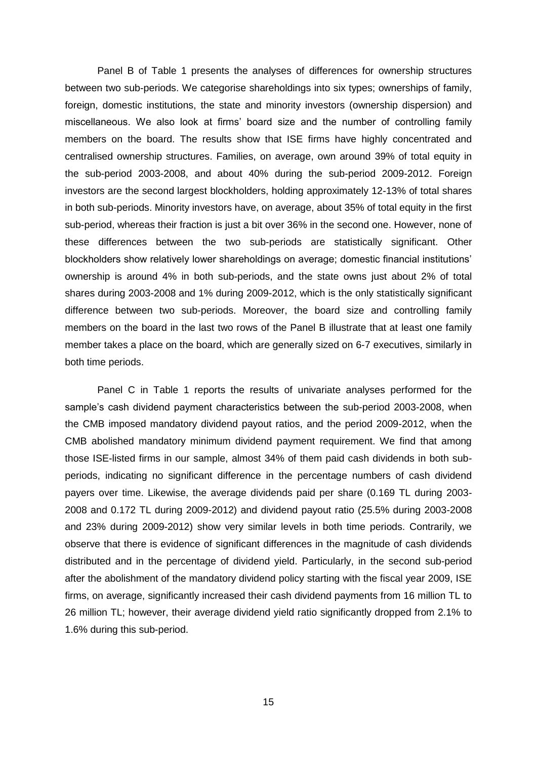Panel B of Table 1 presents the analyses of differences for ownership structures between two sub-periods. We categorise shareholdings into six types; ownerships of family, foreign, domestic institutions, the state and minority investors (ownership dispersion) and miscellaneous. We also look at firms' board size and the number of controlling family members on the board. The results show that ISE firms have highly concentrated and centralised ownership structures. Families, on average, own around 39% of total equity in the sub-period 2003-2008, and about 40% during the sub-period 2009-2012. Foreign investors are the second largest blockholders, holding approximately 12-13% of total shares in both sub-periods. Minority investors have, on average, about 35% of total equity in the first sub-period, whereas their fraction is just a bit over 36% in the second one. However, none of these differences between the two sub-periods are statistically significant. Other blockholders show relatively lower shareholdings on average; domestic financial institutions' ownership is around 4% in both sub-periods, and the state owns just about 2% of total shares during 2003-2008 and 1% during 2009-2012, which is the only statistically significant difference between two sub-periods. Moreover, the board size and controlling family members on the board in the last two rows of the Panel B illustrate that at least one family member takes a place on the board, which are generally sized on 6-7 executives, similarly in both time periods.

Panel C in Table 1 reports the results of univariate analyses performed for the sample's cash dividend payment characteristics between the sub-period 2003-2008, when the CMB imposed mandatory dividend payout ratios, and the period 2009-2012, when the CMB abolished mandatory minimum dividend payment requirement. We find that among those ISE-listed firms in our sample, almost 34% of them paid cash dividends in both subperiods, indicating no significant difference in the percentage numbers of cash dividend payers over time. Likewise, the average dividends paid per share (0.169 TL during 2003- 2008 and 0.172 TL during 2009-2012) and dividend payout ratio (25.5% during 2003-2008 and 23% during 2009-2012) show very similar levels in both time periods. Contrarily, we observe that there is evidence of significant differences in the magnitude of cash dividends distributed and in the percentage of dividend yield. Particularly, in the second sub-period after the abolishment of the mandatory dividend policy starting with the fiscal year 2009, ISE firms, on average, significantly increased their cash dividend payments from 16 million TL to 26 million TL; however, their average dividend yield ratio significantly dropped from 2.1% to 1.6% during this sub-period.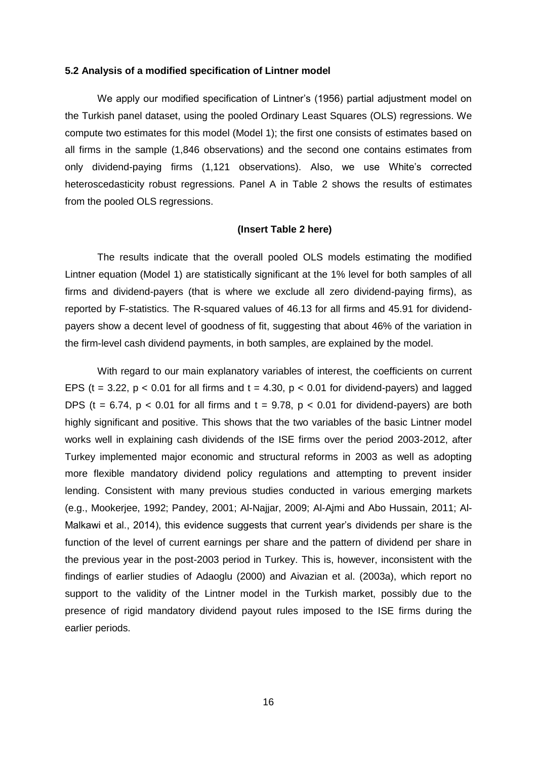#### **5.2 Analysis of a modified specification of Lintner model**

We apply our modified specification of Lintner's (1956) partial adjustment model on the Turkish panel dataset, using the pooled Ordinary Least Squares (OLS) regressions. We compute two estimates for this model (Model 1); the first one consists of estimates based on all firms in the sample (1,846 observations) and the second one contains estimates from only dividend-paying firms (1,121 observations). Also, we use White's corrected heteroscedasticity robust regressions. Panel A in Table 2 shows the results of estimates from the pooled OLS regressions.

#### **(Insert Table 2 here)**

The results indicate that the overall pooled OLS models estimating the modified Lintner equation (Model 1) are statistically significant at the 1% level for both samples of all firms and dividend-payers (that is where we exclude all zero dividend-paying firms), as reported by F-statistics. The R-squared values of 46.13 for all firms and 45.91 for dividendpayers show a decent level of goodness of fit, suggesting that about 46% of the variation in the firm-level cash dividend payments, in both samples, are explained by the model.

With regard to our main explanatory variables of interest, the coefficients on current EPS ( $t = 3.22$ ,  $p < 0.01$  for all firms and  $t = 4.30$ ,  $p < 0.01$  for dividend-payers) and lagged DPS ( $t = 6.74$ ,  $p < 0.01$  for all firms and  $t = 9.78$ ,  $p < 0.01$  for dividend-payers) are both highly significant and positive. This shows that the two variables of the basic Lintner model works well in explaining cash dividends of the ISE firms over the period 2003-2012, after Turkey implemented major economic and structural reforms in 2003 as well as adopting more flexible mandatory dividend policy regulations and attempting to prevent insider lending. Consistent with many previous studies conducted in various emerging markets (e.g., Mookerjee, 1992; Pandey, 2001; Al-Najjar, 2009; Al-Ajmi and Abo Hussain, 2011; Al-Malkawi et al., 2014), this evidence suggests that current year's dividends per share is the function of the level of current earnings per share and the pattern of dividend per share in the previous year in the post-2003 period in Turkey. This is, however, inconsistent with the findings of earlier studies of Adaoglu (2000) and Aivazian et al. (2003a), which report no support to the validity of the Lintner model in the Turkish market, possibly due to the presence of rigid mandatory dividend payout rules imposed to the ISE firms during the earlier periods.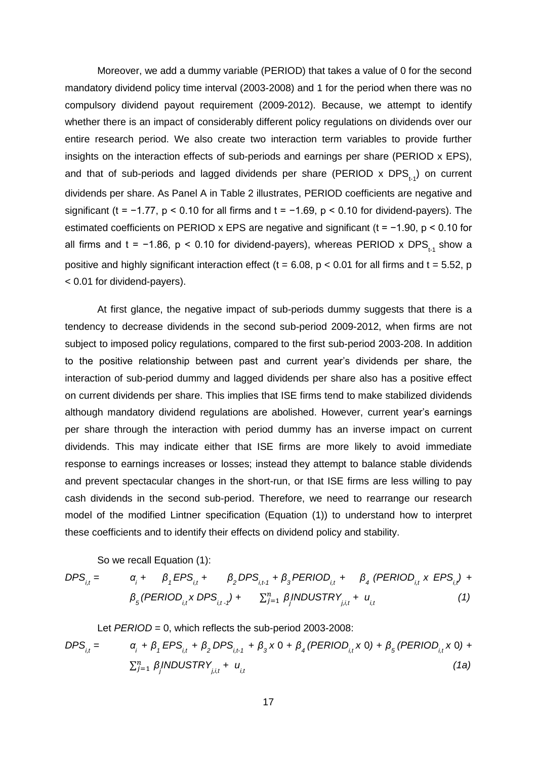Moreover, we add a dummy variable (PERIOD) that takes a value of 0 for the second mandatory dividend policy time interval (2003-2008) and 1 for the period when there was no compulsory dividend payout requirement (2009-2012). Because, we attempt to identify whether there is an impact of considerably different policy regulations on dividends over our entire research period. We also create two interaction term variables to provide further insights on the interaction effects of sub-periods and earnings per share (PERIOD x EPS), and that of sub-periods and lagged dividends per share (PERIOD x DPS $_{t_{1}}$ ) on current dividends per share. As Panel A in Table 2 illustrates, PERIOD coefficients are negative and significant (t =  $-1.77$ , p < 0.10 for all firms and t =  $-1.69$ , p < 0.10 for dividend-payers). The estimated coefficients on PERIOD x EPS are negative and significant (t = −1.90, p < 0.10 for all firms and t = -1.86, p < 0.10 for dividend-payers), whereas PERIOD x DPS<sub>t-1</sub> show a positive and highly significant interaction effect (t = 6.08,  $p < 0.01$  for all firms and t = 5.52, p < 0.01 for dividend-payers).

At first glance, the negative impact of sub-periods dummy suggests that there is a tendency to decrease dividends in the second sub-period 2009-2012, when firms are not subject to imposed policy regulations, compared to the first sub-period 2003-208. In addition to the positive relationship between past and current year's dividends per share, the interaction of sub-period dummy and lagged dividends per share also has a positive effect on current dividends per share. This implies that ISE firms tend to make stabilized dividends although mandatory dividend regulations are abolished. However, current year's earnings per share through the interaction with period dummy has an inverse impact on current dividends. This may indicate either that ISE firms are more likely to avoid immediate response to earnings increases or losses; instead they attempt to balance stable dividends and prevent spectacular changes in the short-run, or that ISE firms are less willing to pay cash dividends in the second sub-period. Therefore, we need to rearrange our research model of the modified Lintner specification (Equation (1)) to understand how to interpret these coefficients and to identify their effects on dividend policy and stability.

So we recall Equation (1):

$$
DPS_{i,t} = \alpha_i + \beta_t EPS_{i,t} + \beta_2 DPS_{i,t+1} + \beta_3 PERIOD_{i,t} + \beta_4 (PERIOD_{i,t} \times EPS_{i,t}) + \beta_5 (PERIOD_{i,t} \times DPS_{i,t+1}) + \sum_{j=1}^n \beta_j INDUSTRY_{j,t} + u_{i,t} \tag{1}
$$

Let *PERIOD =* 0, which reflects the sub-period 2003-2008:

$$
DPS_{i,t} = \alpha_i + \beta_i EPS_{i,t} + \beta_2 DPS_{i,t+1} + \beta_3 x 0 + \beta_4 (PERIOD_{i,t} x 0) + \beta_5 (PERIOD_{i,t} x 0) + \sum_{j=1}^{n} \beta_j INDUSTRY_{j,t} + u_{i,t}
$$
\n(1a)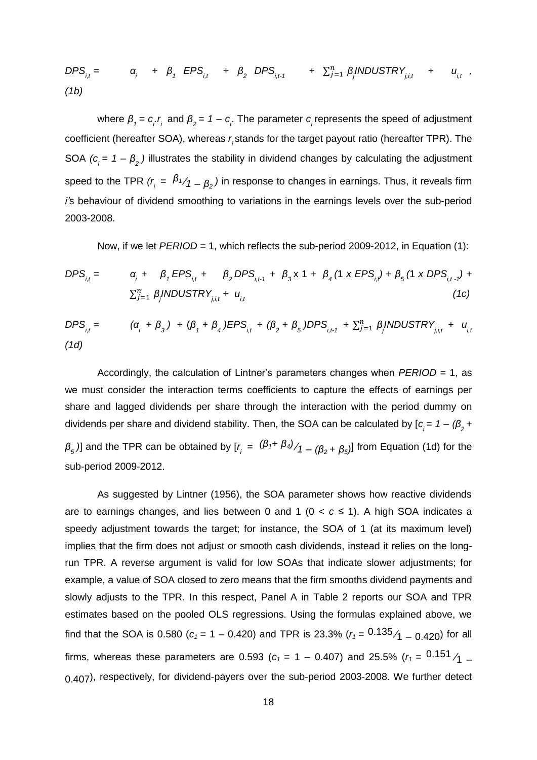$DPS_{i,t} = \alpha_i + \beta_t EPS_{i,t} + \beta_2 DPS_{i,t-1} + \sum_{j=1}^n \beta_j INDUSTRY_{j,i,t} + u_{i,t}$ *(1b)*

where  $\beta_i = c_i r_i$  and  $\beta_2 = 1 - c_i$  The parameter  $c_i$  represents the speed of adjustment coefficient (hereafter SOA), whereas *r<sub>i</sub>*stands for the target payout ratio (hereafter TPR). The SOA  $(c_i = 1 - \beta_2)$  illustrates the stability in dividend changes by calculating the adjustment speed to the TPR  $(r_i = \beta_1/\gamma - \beta_2)$  in response to changes in earnings. Thus, it reveals firm *i'*s behaviour of dividend smoothing to variations in the earnings levels over the sub-period 2003-2008.

Now, if we let *PERIOD =* 1, which reflects the sub-period 2009-2012, in Equation (1):

$$
DPS_{i,t} = \alpha_i + \beta_1 EPS_{i,t} + \beta_2 DPS_{i,t+1} + \beta_3 X 1 + \beta_4 (1 X EPS_{i,t}) + \beta_5 (1 X DPS_{i,t-1}) + \sum_{j=1}^{n} \beta_j INDUSTRY_{j,t} + u_{i,t}
$$
(1c)

$$
DPS_{i,t} = \left( \alpha_i + \beta_3 \right) + \left( \beta_1 + \beta_4 \right) EPS_{i,t} + \left( \beta_2 + \beta_5 \right) DPS_{i,t-1} + \sum_{j=1}^n \beta_j INDUSTRY_{j,i,t} + u_{i,t}
$$
\n(1d)

Accordingly, the calculation of Lintner's parameters changes when *PERIOD* = 1, as we must consider the interaction terms coefficients to capture the effects of earnings per share and lagged dividends per share through the interaction with the period dummy on dividends per share and dividend stability. Then, the SOA can be calculated by [*c <sup>i</sup>*= *1 – (β2 +*   $\beta$ <sub>*5*</sub> )] and the TPR can be obtained by [ $r$ <sub>*i*</sub> =  $(\beta$ *1*+  $\beta$ *4*) $/$ <sub>1</sub> –  $(\beta$ <sub>2</sub> +  $\beta$ <sub>5</sub>)] from Equation (1d) for the sub-period 2009-2012.

As suggested by Lintner (1956), the SOA parameter shows how reactive dividends are to earnings changes, and lies between 0 and 1 (0 < *c ≤* 1). A high SOA indicates a speedy adjustment towards the target; for instance, the SOA of 1 (at its maximum level) implies that the firm does not adjust or smooth cash dividends, instead it relies on the longrun TPR. A reverse argument is valid for low SOAs that indicate slower adjustments; for example, a value of SOA closed to zero means that the firm smooths dividend payments and slowly adjusts to the TPR. In this respect, Panel A in Table 2 reports our SOA and TPR estimates based on the pooled OLS regressions. Using the formulas explained above, we find that the SOA is 0.580 ( $c_1$  = 1 – 0.420) and TPR is 23.3% ( $r_1$  =  $0.135/1$  –  $0.420$ ) for all firms, whereas these parameters are 0.593 ( $c_1 = 1 - 0.407$ ) and 25.5% ( $r_1 = 0.151 / 1 - 1.15$ 0.407), respectively, for dividend-payers over the sub-period 2003-2008. We further detect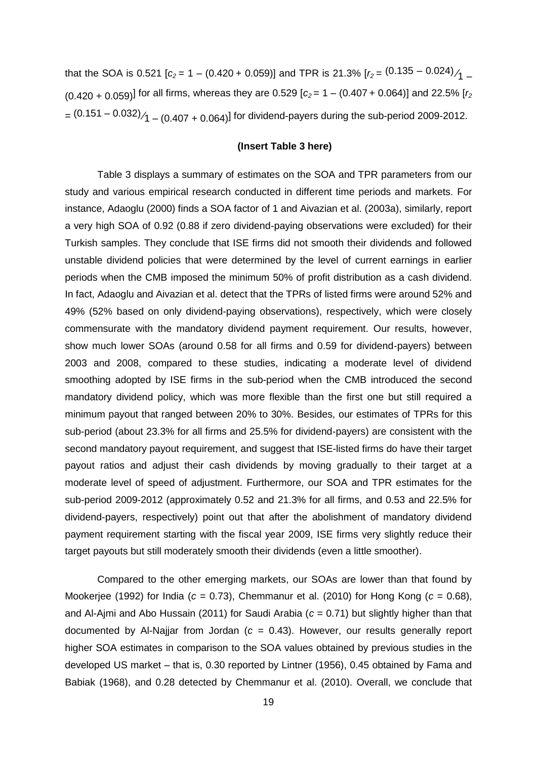that the SOA is 0.521 [ $c_2$  = 1 – (0.420 + 0.059)] and TPR is 21.3% [ $r_2$  =  $^{(0.135\, - \, 0.024)}$   $/$  $(0.420 + 0.059)$  for all firms, whereas they are 0.529 [ $c_2$  = 1 – (0.407 + 0.064)] and 22.5% [ $r_2$  $= (0.151 - 0.032) / 1 - (0.407 + 0.064)$  for dividend-payers during the sub-period 2009-2012.

## **(Insert Table 3 here)**

Table 3 displays a summary of estimates on the SOA and TPR parameters from our study and various empirical research conducted in different time periods and markets. For instance, Adaoglu (2000) finds a SOA factor of 1 and Aivazian et al. (2003a), similarly, report a very high SOA of 0.92 (0.88 if zero dividend-paying observations were excluded) for their Turkish samples. They conclude that ISE firms did not smooth their dividends and followed unstable dividend policies that were determined by the level of current earnings in earlier periods when the CMB imposed the minimum 50% of profit distribution as a cash dividend. In fact, Adaoglu and Aivazian et al. detect that the TPRs of listed firms were around 52% and 49% (52% based on only dividend-paying observations), respectively, which were closely commensurate with the mandatory dividend payment requirement. Our results, however, show much lower SOAs (around 0.58 for all firms and 0.59 for dividend-payers) between 2003 and 2008, compared to these studies, indicating a moderate level of dividend smoothing adopted by ISE firms in the sub-period when the CMB introduced the second mandatory dividend policy, which was more flexible than the first one but still required a minimum payout that ranged between 20% to 30%. Besides, our estimates of TPRs for this sub-period (about 23.3% for all firms and 25.5% for dividend-payers) are consistent with the second mandatory payout requirement, and suggest that ISE-listed firms do have their target payout ratios and adjust their cash dividends by moving gradually to their target at a moderate level of speed of adjustment. Furthermore, our SOA and TPR estimates for the sub-period 2009-2012 (approximately 0.52 and 21.3% for all firms, and 0.53 and 22.5% for dividend-payers, respectively) point out that after the abolishment of mandatory dividend payment requirement starting with the fiscal year 2009, ISE firms very slightly reduce their target payouts but still moderately smooth their dividends (even a little smoother).

Compared to the other emerging markets, our SOAs are lower than that found by Mookerjee (1992) for India (*c =* 0.73), Chemmanur et al. (2010) for Hong Kong (*c* = 0.68), and Al-Ajmi and Abo Hussain (2011) for Saudi Arabia (*c* = 0.71) but slightly higher than that documented by Al-Najjar from Jordan (*c* = 0.43). However, our results generally report higher SOA estimates in comparison to the SOA values obtained by previous studies in the developed US market – that is, 0.30 reported by Lintner (1956), 0.45 obtained by Fama and Babiak (1968), and 0.28 detected by Chemmanur et al. (2010). Overall, we conclude that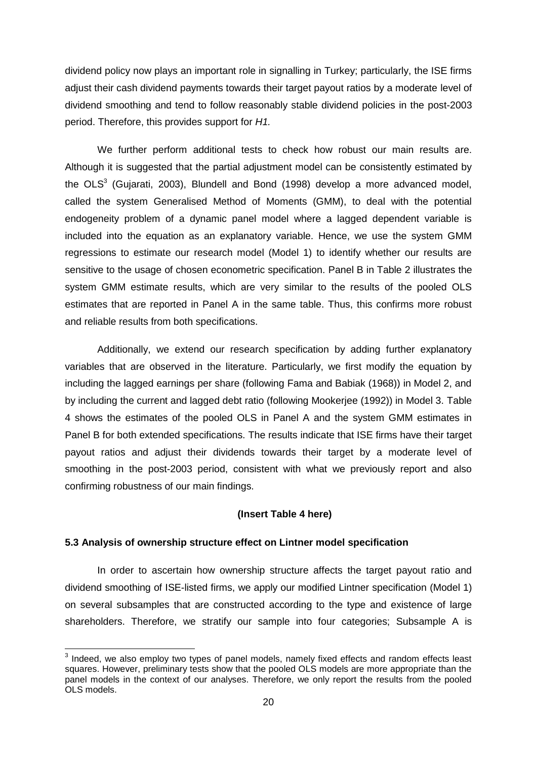dividend policy now plays an important role in signalling in Turkey; particularly, the ISE firms adjust their cash dividend payments towards their target payout ratios by a moderate level of dividend smoothing and tend to follow reasonably stable dividend policies in the post-2003 period. Therefore, this provides support for *H1.* 

We further perform additional tests to check how robust our main results are. Although it is suggested that the partial adjustment model can be consistently estimated by the OLS<sup>3</sup> (Gujarati, 2003), Blundell and Bond (1998) develop a more advanced model, called the system Generalised Method of Moments (GMM), to deal with the potential endogeneity problem of a dynamic panel model where a lagged dependent variable is included into the equation as an explanatory variable. Hence, we use the system GMM regressions to estimate our research model (Model 1) to identify whether our results are sensitive to the usage of chosen econometric specification. Panel B in Table 2 illustrates the system GMM estimate results, which are very similar to the results of the pooled OLS estimates that are reported in Panel A in the same table. Thus, this confirms more robust and reliable results from both specifications.

Additionally, we extend our research specification by adding further explanatory variables that are observed in the literature. Particularly, we first modify the equation by including the lagged earnings per share (following Fama and Babiak (1968)) in Model 2, and by including the current and lagged debt ratio (following Mookerjee (1992)) in Model 3. Table 4 shows the estimates of the pooled OLS in Panel A and the system GMM estimates in Panel B for both extended specifications. The results indicate that ISE firms have their target payout ratios and adjust their dividends towards their target by a moderate level of smoothing in the post-2003 period, consistent with what we previously report and also confirming robustness of our main findings.

#### **(Insert Table 4 here)**

#### **5.3 Analysis of ownership structure effect on Lintner model specification**

In order to ascertain how ownership structure affects the target payout ratio and dividend smoothing of ISE-listed firms, we apply our modified Lintner specification (Model 1) on several subsamples that are constructed according to the type and existence of large shareholders. Therefore, we stratify our sample into four categories; Subsample A is

 3 Indeed, we also employ two types of panel models, namely fixed effects and random effects least squares. However, preliminary tests show that the pooled OLS models are more appropriate than the panel models in the context of our analyses. Therefore, we only report the results from the pooled OLS models.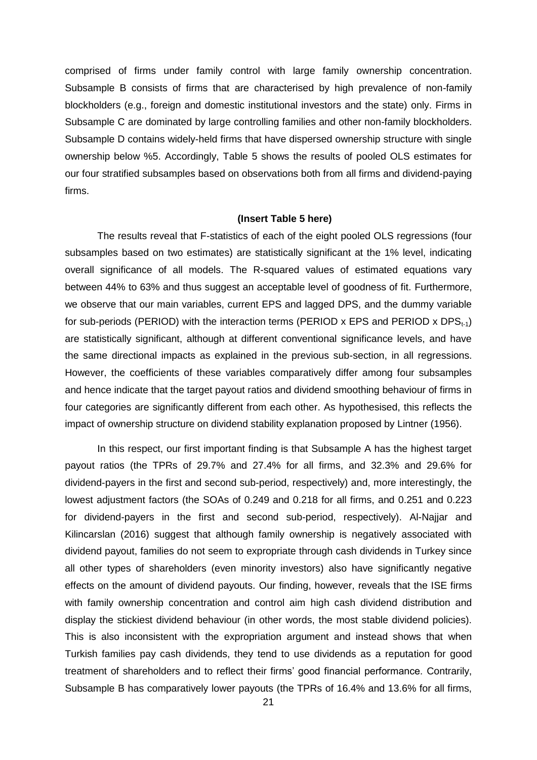comprised of firms under family control with large family ownership concentration. Subsample B consists of firms that are characterised by high prevalence of non-family blockholders (e.g., foreign and domestic institutional investors and the state) only. Firms in Subsample C are dominated by large controlling families and other non-family blockholders. Subsample D contains widely-held firms that have dispersed ownership structure with single ownership below %5. Accordingly, Table 5 shows the results of pooled OLS estimates for our four stratified subsamples based on observations both from all firms and dividend-paying firms.

#### **(Insert Table 5 here)**

The results reveal that F-statistics of each of the eight pooled OLS regressions (four subsamples based on two estimates) are statistically significant at the 1% level, indicating overall significance of all models. The R-squared values of estimated equations vary between 44% to 63% and thus suggest an acceptable level of goodness of fit. Furthermore, we observe that our main variables, current EPS and lagged DPS, and the dummy variable for sub-periods (PERIOD) with the interaction terms (PERIOD x EPS and PERIOD x DPS<sub>t-1</sub>) are statistically significant, although at different conventional significance levels, and have the same directional impacts as explained in the previous sub-section, in all regressions. However, the coefficients of these variables comparatively differ among four subsamples and hence indicate that the target payout ratios and dividend smoothing behaviour of firms in four categories are significantly different from each other. As hypothesised, this reflects the impact of ownership structure on dividend stability explanation proposed by Lintner (1956).

In this respect, our first important finding is that Subsample A has the highest target payout ratios (the TPRs of 29.7% and 27.4% for all firms, and 32.3% and 29.6% for dividend-payers in the first and second sub-period, respectively) and, more interestingly, the lowest adjustment factors (the SOAs of 0.249 and 0.218 for all firms, and 0.251 and 0.223 for dividend-payers in the first and second sub-period, respectively). Al-Najjar and Kilincarslan (2016) suggest that although family ownership is negatively associated with dividend payout, families do not seem to expropriate through cash dividends in Turkey since all other types of shareholders (even minority investors) also have significantly negative effects on the amount of dividend payouts. Our finding, however, reveals that the ISE firms with family ownership concentration and control aim high cash dividend distribution and display the stickiest dividend behaviour (in other words, the most stable dividend policies). This is also inconsistent with the expropriation argument and instead shows that when Turkish families pay cash dividends, they tend to use dividends as a reputation for good treatment of shareholders and to reflect their firms' good financial performance. Contrarily, Subsample B has comparatively lower payouts (the TPRs of 16.4% and 13.6% for all firms,

21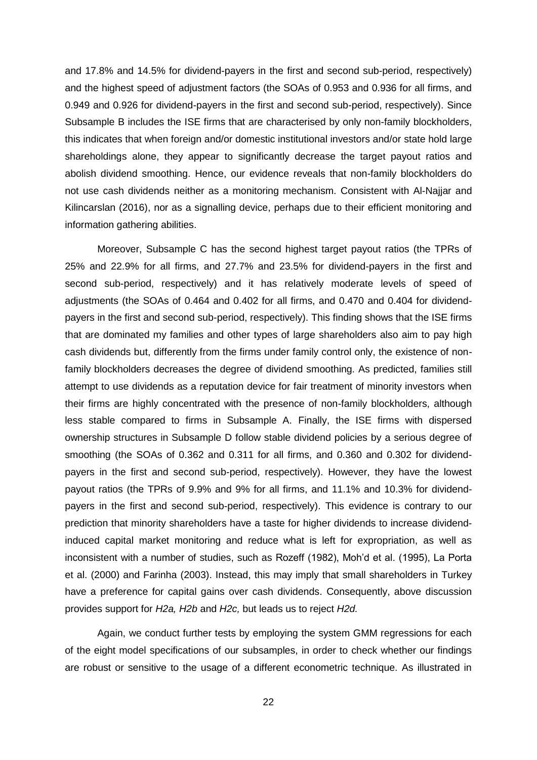and 17.8% and 14.5% for dividend-payers in the first and second sub-period, respectively) and the highest speed of adjustment factors (the SOAs of 0.953 and 0.936 for all firms, and 0.949 and 0.926 for dividend-payers in the first and second sub-period, respectively). Since Subsample B includes the ISE firms that are characterised by only non-family blockholders, this indicates that when foreign and/or domestic institutional investors and/or state hold large shareholdings alone, they appear to significantly decrease the target payout ratios and abolish dividend smoothing. Hence, our evidence reveals that non-family blockholders do not use cash dividends neither as a monitoring mechanism. Consistent with Al-Najjar and Kilincarslan (2016), nor as a signalling device, perhaps due to their efficient monitoring and information gathering abilities.

Moreover, Subsample C has the second highest target payout ratios (the TPRs of 25% and 22.9% for all firms, and 27.7% and 23.5% for dividend-payers in the first and second sub-period, respectively) and it has relatively moderate levels of speed of adjustments (the SOAs of 0.464 and 0.402 for all firms, and 0.470 and 0.404 for dividendpayers in the first and second sub-period, respectively). This finding shows that the ISE firms that are dominated my families and other types of large shareholders also aim to pay high cash dividends but, differently from the firms under family control only, the existence of nonfamily blockholders decreases the degree of dividend smoothing. As predicted, families still attempt to use dividends as a reputation device for fair treatment of minority investors when their firms are highly concentrated with the presence of non-family blockholders, although less stable compared to firms in Subsample A. Finally, the ISE firms with dispersed ownership structures in Subsample D follow stable dividend policies by a serious degree of smoothing (the SOAs of 0.362 and 0.311 for all firms, and 0.360 and 0.302 for dividendpayers in the first and second sub-period, respectively). However, they have the lowest payout ratios (the TPRs of 9.9% and 9% for all firms, and 11.1% and 10.3% for dividendpayers in the first and second sub-period, respectively). This evidence is contrary to our prediction that minority shareholders have a taste for higher dividends to increase dividendinduced capital market monitoring and reduce what is left for expropriation, as well as inconsistent with a number of studies, such as Rozeff (1982), Moh'd et al. (1995), La Porta et al. (2000) and Farinha (2003). Instead, this may imply that small shareholders in Turkey have a preference for capital gains over cash dividends. Consequently, above discussion provides support for *H2a, H2b* and *H2c,* but leads us to reject *H2d.* 

Again, we conduct further tests by employing the system GMM regressions for each of the eight model specifications of our subsamples, in order to check whether our findings are robust or sensitive to the usage of a different econometric technique. As illustrated in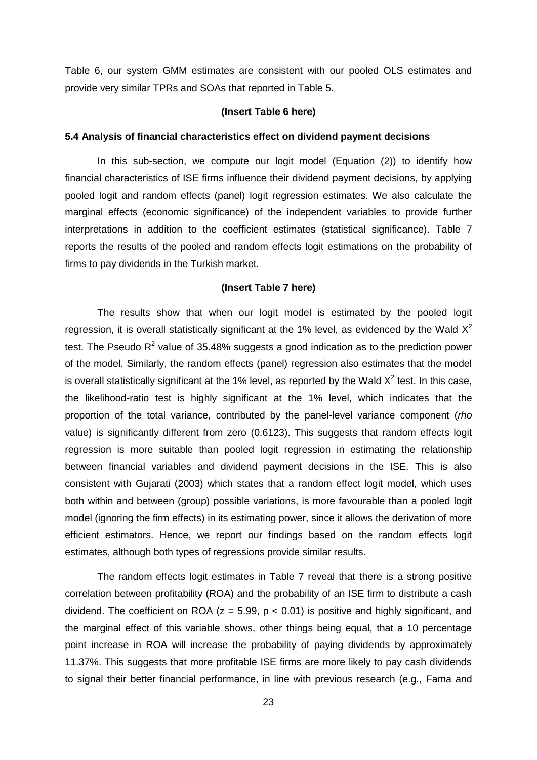Table 6, our system GMM estimates are consistent with our pooled OLS estimates and provide very similar TPRs and SOAs that reported in Table 5.

#### **(Insert Table 6 here)**

#### **5.4 Analysis of financial characteristics effect on dividend payment decisions**

In this sub-section, we compute our logit model (Equation (2)) to identify how financial characteristics of ISE firms influence their dividend payment decisions, by applying pooled logit and random effects (panel) logit regression estimates. We also calculate the marginal effects (economic significance) of the independent variables to provide further interpretations in addition to the coefficient estimates (statistical significance). Table 7 reports the results of the pooled and random effects logit estimations on the probability of firms to pay dividends in the Turkish market.

#### **(Insert Table 7 here)**

The results show that when our logit model is estimated by the pooled logit regression, it is overall statistically significant at the 1% level, as evidenced by the Wald  $X^2$ test. The Pseudo R<sup>2</sup> value of 35.48% suggests a good indication as to the prediction power of the model. Similarly, the random effects (panel) regression also estimates that the model is overall statistically significant at the 1% level, as reported by the Wald  $X^2$  test. In this case, the likelihood-ratio test is highly significant at the 1% level, which indicates that the proportion of the total variance, contributed by the panel-level variance component (*rho*  value) is significantly different from zero (0.6123). This suggests that random effects logit regression is more suitable than pooled logit regression in estimating the relationship between financial variables and dividend payment decisions in the ISE. This is also consistent with Gujarati (2003) which states that a random effect logit model, which uses both within and between (group) possible variations, is more favourable than a pooled logit model (ignoring the firm effects) in its estimating power, since it allows the derivation of more efficient estimators. Hence, we report our findings based on the random effects logit estimates, although both types of regressions provide similar results.

The random effects logit estimates in Table 7 reveal that there is a strong positive correlation between profitability (ROA) and the probability of an ISE firm to distribute a cash dividend. The coefficient on ROA ( $z = 5.99$ ,  $p < 0.01$ ) is positive and highly significant, and the marginal effect of this variable shows, other things being equal, that a 10 percentage point increase in ROA will increase the probability of paying dividends by approximately 11.37%. This suggests that more profitable ISE firms are more likely to pay cash dividends to signal their better financial performance, in line with previous research (e.g., Fama and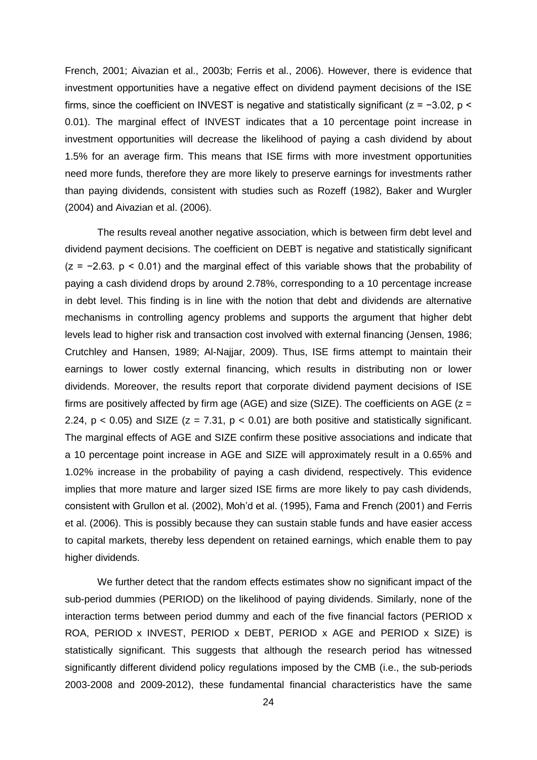French, 2001; Aivazian et al., 2003b; Ferris et al., 2006). However, there is evidence that investment opportunities have a negative effect on dividend payment decisions of the ISE firms, since the coefficient on INVEST is negative and statistically significant (z = −3.02, p < 0.01). The marginal effect of INVEST indicates that a 10 percentage point increase in investment opportunities will decrease the likelihood of paying a cash dividend by about 1.5% for an average firm. This means that ISE firms with more investment opportunities need more funds, therefore they are more likely to preserve earnings for investments rather than paying dividends, consistent with studies such as Rozeff (1982), Baker and Wurgler (2004) and Aivazian et al. (2006).

The results reveal another negative association, which is between firm debt level and dividend payment decisions. The coefficient on DEBT is negative and statistically significant  $(z = -2.63, p < 0.01)$  and the marginal effect of this variable shows that the probability of paying a cash dividend drops by around 2.78%, corresponding to a 10 percentage increase in debt level. This finding is in line with the notion that debt and dividends are alternative mechanisms in controlling agency problems and supports the argument that higher debt levels lead to higher risk and transaction cost involved with external financing (Jensen, 1986; Crutchley and Hansen, 1989; Al-Najjar, 2009). Thus, ISE firms attempt to maintain their earnings to lower costly external financing, which results in distributing non or lower dividends. Moreover, the results report that corporate dividend payment decisions of ISE firms are positively affected by firm age (AGE) and size (SIZE). The coefficients on AGE ( $z =$ 2.24,  $p < 0.05$ ) and SIZE ( $z = 7.31$ ,  $p < 0.01$ ) are both positive and statistically significant. The marginal effects of AGE and SIZE confirm these positive associations and indicate that a 10 percentage point increase in AGE and SIZE will approximately result in a 0.65% and 1.02% increase in the probability of paying a cash dividend, respectively. This evidence implies that more mature and larger sized ISE firms are more likely to pay cash dividends, consistent with Grullon et al. (2002), Moh'd et al. (1995), Fama and French (2001) and Ferris et al. (2006). This is possibly because they can sustain stable funds and have easier access to capital markets, thereby less dependent on retained earnings, which enable them to pay higher dividends.

We further detect that the random effects estimates show no significant impact of the sub-period dummies (PERIOD) on the likelihood of paying dividends. Similarly, none of the interaction terms between period dummy and each of the five financial factors (PERIOD x ROA, PERIOD x INVEST, PERIOD x DEBT, PERIOD x AGE and PERIOD x SIZE) is statistically significant. This suggests that although the research period has witnessed significantly different dividend policy regulations imposed by the CMB (i.e., the sub-periods 2003-2008 and 2009-2012), these fundamental financial characteristics have the same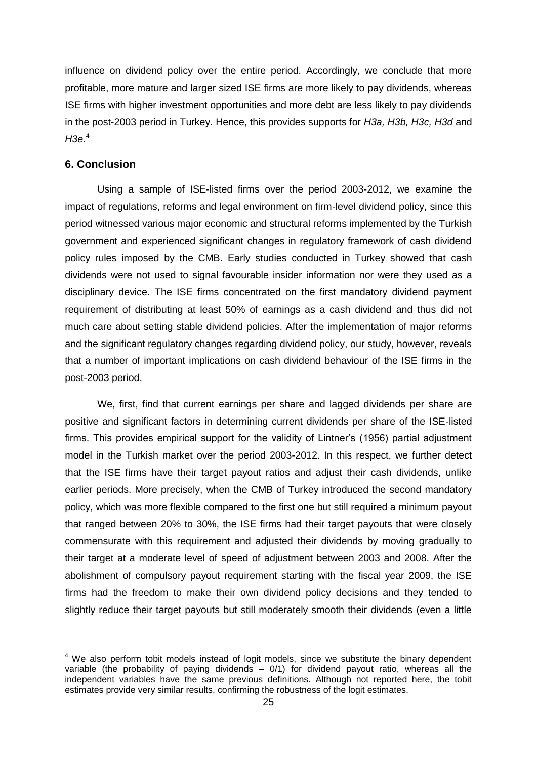influence on dividend policy over the entire period. Accordingly, we conclude that more profitable, more mature and larger sized ISE firms are more likely to pay dividends, whereas ISE firms with higher investment opportunities and more debt are less likely to pay dividends in the post-2003 period in Turkey. Hence, this provides supports for *H3a, H3b, H3c, H3d* and *H3e.*<sup>4</sup>

## **6. Conclusion**

**.** 

Using a sample of ISE-listed firms over the period 2003-2012, we examine the impact of regulations, reforms and legal environment on firm-level dividend policy, since this period witnessed various major economic and structural reforms implemented by the Turkish government and experienced significant changes in regulatory framework of cash dividend policy rules imposed by the CMB. Early studies conducted in Turkey showed that cash dividends were not used to signal favourable insider information nor were they used as a disciplinary device. The ISE firms concentrated on the first mandatory dividend payment requirement of distributing at least 50% of earnings as a cash dividend and thus did not much care about setting stable dividend policies. After the implementation of major reforms and the significant regulatory changes regarding dividend policy, our study, however, reveals that a number of important implications on cash dividend behaviour of the ISE firms in the post-2003 period.

We, first, find that current earnings per share and lagged dividends per share are positive and significant factors in determining current dividends per share of the ISE-listed firms. This provides empirical support for the validity of Lintner's (1956) partial adjustment model in the Turkish market over the period 2003-2012. In this respect, we further detect that the ISE firms have their target payout ratios and adjust their cash dividends, unlike earlier periods. More precisely, when the CMB of Turkey introduced the second mandatory policy, which was more flexible compared to the first one but still required a minimum payout that ranged between 20% to 30%, the ISE firms had their target payouts that were closely commensurate with this requirement and adjusted their dividends by moving gradually to their target at a moderate level of speed of adjustment between 2003 and 2008. After the abolishment of compulsory payout requirement starting with the fiscal year 2009, the ISE firms had the freedom to make their own dividend policy decisions and they tended to slightly reduce their target payouts but still moderately smooth their dividends (even a little

 $4$  We also perform tobit models instead of logit models, since we substitute the binary dependent variable (the probability of paying dividends  $-$  0/1) for dividend payout ratio, whereas all the independent variables have the same previous definitions. Although not reported here, the tobit estimates provide very similar results, confirming the robustness of the logit estimates.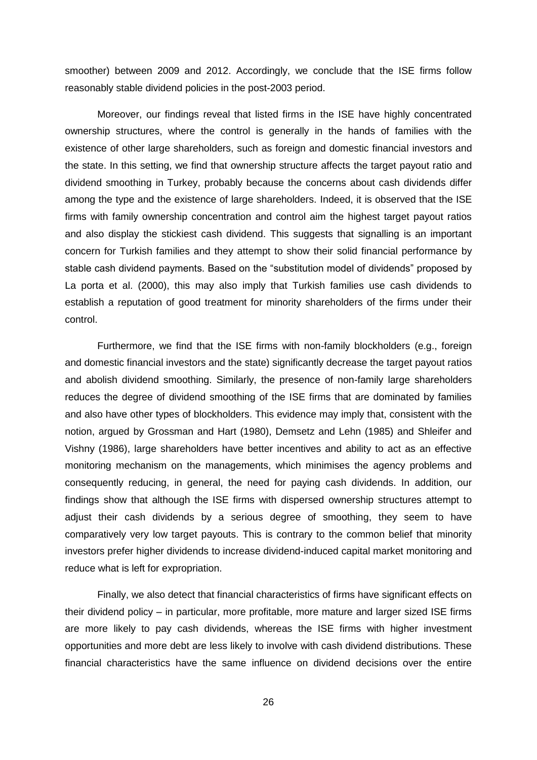smoother) between 2009 and 2012. Accordingly, we conclude that the ISE firms follow reasonably stable dividend policies in the post-2003 period.

Moreover, our findings reveal that listed firms in the ISE have highly concentrated ownership structures, where the control is generally in the hands of families with the existence of other large shareholders, such as foreign and domestic financial investors and the state. In this setting, we find that ownership structure affects the target payout ratio and dividend smoothing in Turkey, probably because the concerns about cash dividends differ among the type and the existence of large shareholders. Indeed, it is observed that the ISE firms with family ownership concentration and control aim the highest target payout ratios and also display the stickiest cash dividend. This suggests that signalling is an important concern for Turkish families and they attempt to show their solid financial performance by stable cash dividend payments. Based on the "substitution model of dividends" proposed by La porta et al. (2000), this may also imply that Turkish families use cash dividends to establish a reputation of good treatment for minority shareholders of the firms under their control.

Furthermore, we find that the ISE firms with non-family blockholders (e.g., foreign and domestic financial investors and the state) significantly decrease the target payout ratios and abolish dividend smoothing. Similarly, the presence of non-family large shareholders reduces the degree of dividend smoothing of the ISE firms that are dominated by families and also have other types of blockholders. This evidence may imply that, consistent with the notion, argued by Grossman and Hart (1980), Demsetz and Lehn (1985) and Shleifer and Vishny (1986), large shareholders have better incentives and ability to act as an effective monitoring mechanism on the managements, which minimises the agency problems and consequently reducing, in general, the need for paying cash dividends. In addition, our findings show that although the ISE firms with dispersed ownership structures attempt to adjust their cash dividends by a serious degree of smoothing, they seem to have comparatively very low target payouts. This is contrary to the common belief that minority investors prefer higher dividends to increase dividend-induced capital market monitoring and reduce what is left for expropriation.

Finally, we also detect that financial characteristics of firms have significant effects on their dividend policy – in particular, more profitable, more mature and larger sized ISE firms are more likely to pay cash dividends, whereas the ISE firms with higher investment opportunities and more debt are less likely to involve with cash dividend distributions. These financial characteristics have the same influence on dividend decisions over the entire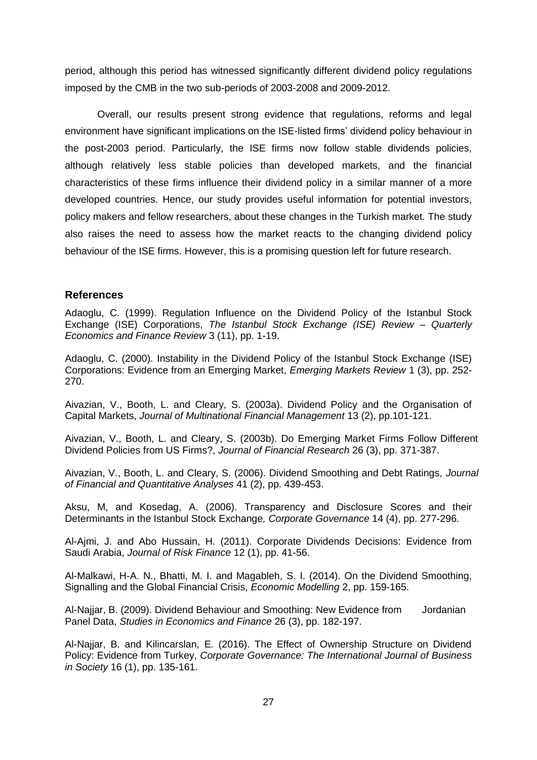period, although this period has witnessed significantly different dividend policy regulations imposed by the CMB in the two sub-periods of 2003-2008 and 2009-2012.

Overall, our results present strong evidence that regulations, reforms and legal environment have significant implications on the ISE-listed firms' dividend policy behaviour in the post-2003 period. Particularly, the ISE firms now follow stable dividends policies, although relatively less stable policies than developed markets, and the financial characteristics of these firms influence their dividend policy in a similar manner of a more developed countries. Hence, our study provides useful information for potential investors, policy makers and fellow researchers, about these changes in the Turkish market. The study also raises the need to assess how the market reacts to the changing dividend policy behaviour of the ISE firms. However, this is a promising question left for future research.

#### **References**

Adaoglu, C. (1999). Regulation Influence on the Dividend Policy of the Istanbul Stock Exchange (ISE) Corporations, *The Istanbul Stock Exchange (ISE) Review – Quarterly Economics and Finance Review* 3 (11), pp. 1-19.

Adaoglu, C. (2000). Instability in the Dividend Policy of the Istanbul Stock Exchange (ISE) Corporations: Evidence from an Emerging Market, *Emerging Markets Review* 1 (3), pp. 252- 270.

Aivazian, V., Booth, L. and Cleary, S. (2003a). Dividend Policy and the Organisation of Capital Markets, *Journal of Multinational Financial Management* 13 (2), pp.101-121.

Aivazian, V., Booth, L. and Cleary, S. (2003b). Do Emerging Market Firms Follow Different Dividend Policies from US Firms?, *Journal of Financial Research* 26 (3), pp. 371-387.

Aivazian, V., Booth, L. and Cleary, S. (2006). Dividend Smoothing and Debt Ratings, *Journal of Financial and Quantitative Analyses* 41 (2), pp. 439-453.

Aksu, M, and Kosedag, A. (2006). Transparency and Disclosure Scores and their Determinants in the Istanbul Stock Exchange*, Corporate Governance* 14 (4), pp. 277-296.

Al-Ajmi, J. and Abo Hussain, H. (2011). Corporate Dividends Decisions: Evidence from Saudi Arabia, *Journal of Risk Finance* 12 (1), pp. 41-56.

Al-Malkawi, H-A. N., Bhatti, M. I. and Magableh, S. I. (2014). On the Dividend Smoothing, Signalling and the Global Financial Crisis, *Economic Modelling* 2, pp. 159-165.

Al-Najjar, B. (2009). Dividend Behaviour and Smoothing: New Evidence from Jordanian Panel Data, *Studies in Economics and Finance* 26 (3), pp. 182-197.

Al-Najjar, B. and Kilincarslan, E. (2016). The Effect of Ownership Structure on Dividend Policy: Evidence from Turkey, *Corporate Governance: The International Journal of Business in Society* 16 (1), pp. 135-161.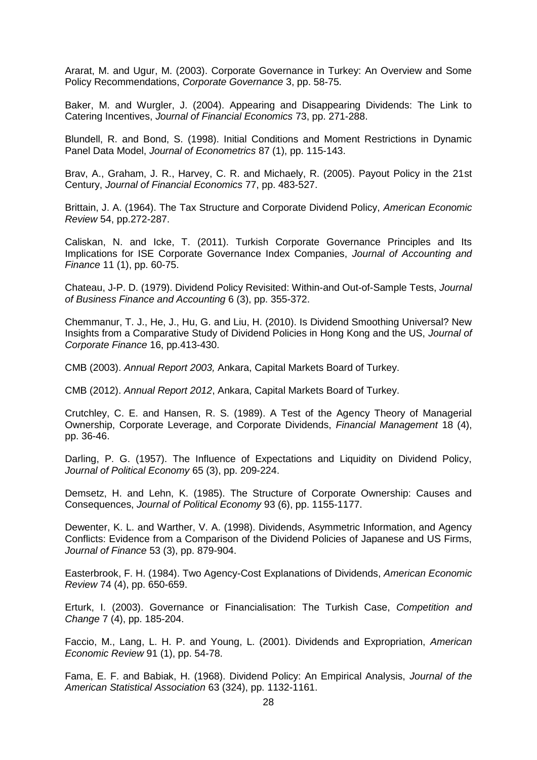Ararat, M. and Ugur, M. (2003). Corporate Governance in Turkey: An Overview and Some Policy Recommendations, *Corporate Governance* 3, pp. 58-75.

Baker, M. and Wurgler, J. (2004). Appearing and Disappearing Dividends: The Link to Catering Incentives, *Journal of Financial Economics* 73, pp. 271-288.

Blundell, R. and Bond, S. (1998). Initial Conditions and Moment Restrictions in Dynamic Panel Data Model, *Journal of Econometrics* 87 (1), pp. 115-143.

Brav, A., Graham, J. R., Harvey, C. R. and Michaely, R. (2005). Payout Policy in the 21st Century, *Journal of Financial Economics* 77, pp. 483-527.

Brittain, J. A. (1964). The Tax Structure and Corporate Dividend Policy, *American Economic Review* 54, pp.272-287.

Caliskan, N. and Icke, T. (2011). Turkish Corporate Governance Principles and Its Implications for ISE Corporate Governance Index Companies, *Journal of Accounting and Finance* 11 (1), pp. 60-75.

Chateau, J-P. D. (1979). Dividend Policy Revisited: Within-and Out-of-Sample Tests, *Journal of Business Finance and Accounting* 6 (3), pp. 355-372.

Chemmanur, T. J., He, J., Hu, G. and Liu, H. (2010). Is Dividend Smoothing Universal? New Insights from a Comparative Study of Dividend Policies in Hong Kong and the US, *Journal of Corporate Finance* 16, pp.413-430.

CMB (2003). *Annual Report 2003,* Ankara, Capital Markets Board of Turkey.

CMB (2012). *Annual Report 2012*, Ankara, Capital Markets Board of Turkey.

Crutchley, C. E. and Hansen, R. S. (1989). A Test of the Agency Theory of Managerial Ownership, Corporate Leverage, and Corporate Dividends, *Financial Management* 18 (4), pp. 36-46.

Darling, P. G. (1957). The Influence of Expectations and Liquidity on Dividend Policy, *Journal of Political Economy* 65 (3), pp. 209-224.

Demsetz, H. and Lehn, K. (1985). The Structure of Corporate Ownership: Causes and Consequences, *Journal of Political Economy* 93 (6), pp. 1155-1177.

Dewenter, K. L. and Warther, V. A. (1998). Dividends, Asymmetric Information, and Agency Conflicts: Evidence from a Comparison of the Dividend Policies of Japanese and US Firms, *Journal of Finance* 53 (3), pp. 879-904.

Easterbrook, F. H. (1984). Two Agency-Cost Explanations of Dividends, *American Economic Review* 74 (4), pp. 650-659.

Erturk, I. (2003). Governance or Financialisation: The Turkish Case, *Competition and Change* 7 (4), pp. 185-204.

Faccio, M., Lang, L. H. P. and Young, L. (2001). Dividends and Expropriation, *American Economic Review* 91 (1), pp. 54-78.

Fama, E. F. and Babiak, H. (1968). Dividend Policy: An Empirical Analysis, *Journal of the American Statistical Association* 63 (324), pp. 1132-1161.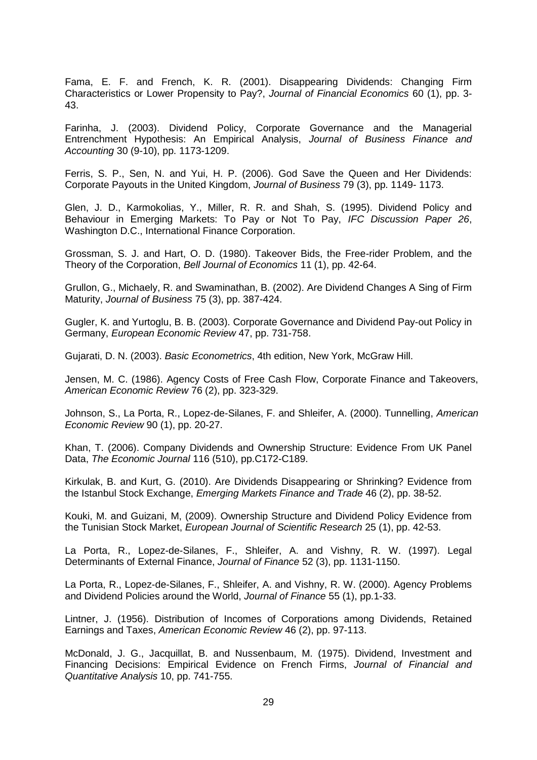Fama, E. F. and French, K. R. (2001). Disappearing Dividends: Changing Firm Characteristics or Lower Propensity to Pay?, *Journal of Financial Economics* 60 (1), pp. 3- 43.

Farinha, J. (2003). Dividend Policy, Corporate Governance and the Managerial Entrenchment Hypothesis: An Empirical Analysis, *Journal of Business Finance and Accounting* 30 (9-10), pp. 1173-1209.

Ferris, S. P., Sen, N. and Yui, H. P. (2006). God Save the Queen and Her Dividends: Corporate Payouts in the United Kingdom, *Journal of Business* 79 (3), pp. 1149- 1173.

Glen, J. D., Karmokolias, Y., Miller, R. R. and Shah, S. (1995). Dividend Policy and Behaviour in Emerging Markets: To Pay or Not To Pay, *IFC Discussion Paper 26*, Washington D.C., International Finance Corporation.

Grossman, S. J. and Hart, O. D. (1980). Takeover Bids, the Free-rider Problem, and the Theory of the Corporation, *Bell Journal of Economics* 11 (1), pp. 42-64.

Grullon, G., Michaely, R. and Swaminathan, B. (2002). Are Dividend Changes A Sing of Firm Maturity, *Journal of Business* 75 (3), pp. 387-424.

Gugler, K. and Yurtoglu, B. B. (2003). Corporate Governance and Dividend Pay-out Policy in Germany, *European Economic Review* 47, pp. 731-758.

Gujarati, D. N. (2003). *Basic Econometrics*, 4th edition, New York, McGraw Hill.

Jensen, M. C. (1986). Agency Costs of Free Cash Flow, Corporate Finance and Takeovers, *American Economic Review* 76 (2), pp. 323-329.

Johnson, S., La Porta, R., Lopez-de-Silanes, F. and Shleifer, A. (2000). Tunnelling, *American Economic Review* 90 (1), pp. 20-27.

Khan, T. (2006). Company Dividends and Ownership Structure: Evidence From UK Panel Data, *The Economic Journal* 116 (510), pp.C172-C189.

Kirkulak, B. and Kurt, G. (2010). Are Dividends Disappearing or Shrinking? Evidence from the Istanbul Stock Exchange, *Emerging Markets Finance and Trade* 46 (2), pp. 38-52.

Kouki, M. and Guizani, M, (2009). Ownership Structure and Dividend Policy Evidence from the Tunisian Stock Market, *European Journal of Scientific Research* 25 (1), pp. 42-53.

La Porta, R., Lopez-de-Silanes, F., Shleifer, A. and Vishny, R. W. (1997). Legal Determinants of External Finance, *Journal of Finance* 52 (3), pp. 1131-1150.

La Porta, R., Lopez-de-Silanes, F., Shleifer, A. and Vishny, R. W. (2000). Agency Problems and Dividend Policies around the World, *Journal of Finance* 55 (1), pp.1-33.

Lintner, J. (1956). Distribution of Incomes of Corporations among Dividends, Retained Earnings and Taxes, *American Economic Review* 46 (2), pp. 97-113.

McDonald, J. G., Jacquillat, B. and Nussenbaum, M. (1975). Dividend, Investment and Financing Decisions: Empirical Evidence on French Firms, *Journal of Financial and Quantitative Analysis* 10, pp. 741-755.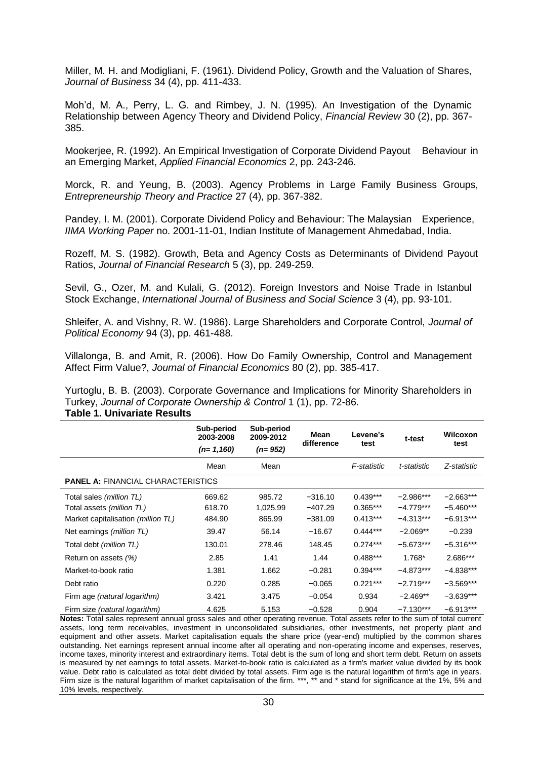Miller, M. H. and Modigliani, F. (1961). Dividend Policy, Growth and the Valuation of Shares, *Journal of Business* 34 (4), pp. 411-433.

Moh'd, M. A., Perry, L. G. and Rimbey, J. N. (1995). An Investigation of the Dynamic Relationship between Agency Theory and Dividend Policy, *Financial Review* 30 (2), pp. 367- 385.

Mookerjee, R. (1992). An Empirical Investigation of Corporate Dividend Payout Behaviour in an Emerging Market, *Applied Financial Economics* 2, pp. 243-246.

Morck, R. and Yeung, B. (2003). Agency Problems in Large Family Business Groups, *Entrepreneurship Theory and Practice* 27 (4), pp. 367-382.

Pandey, I. M. (2001). Corporate Dividend Policy and Behaviour: The Malaysian Experience, *IIMA Working Paper* no. 2001-11-01, Indian Institute of Management Ahmedabad, India.

Rozeff, M. S. (1982). Growth, Beta and Agency Costs as Determinants of Dividend Payout Ratios, *Journal of Financial Research* 5 (3), pp. 249-259.

Sevil, G., Ozer, M. and Kulali, G. (2012). Foreign Investors and Noise Trade in Istanbul Stock Exchange, *International Journal of Business and Social Science* 3 (4), pp. 93-101.

Shleifer, A. and Vishny, R. W. (1986). Large Shareholders and Corporate Control, *Journal of Political Economy* 94 (3), pp. 461-488.

Villalonga, B. and Amit, R. (2006). How Do Family Ownership, Control and Management Affect Firm Value?, *Journal of Financial Economics* 80 (2), pp. 385-417.

Yurtoglu, B. B. (2003). Corporate Governance and Implications for Minority Shareholders in Turkey, *Journal of Corporate Ownership & Control* 1 (1), pp. 72-86. **Table 1. Univariate Results** 

|                                           | Sub-period<br>2003-2008<br>$(n=1,160)$ | Sub-period<br>2009-2012<br>$(n=952)$ | Mean<br>difference | Levene's<br>test | t-test      | Wilcoxon<br>test |
|-------------------------------------------|----------------------------------------|--------------------------------------|--------------------|------------------|-------------|------------------|
|                                           | Mean                                   | Mean                                 |                    | F-statistic      | t-statistic | Z-statistic      |
| <b>PANEL A: FINANCIAL CHARACTERISTICS</b> |                                        |                                      |                    |                  |             |                  |
| Total sales (million TL)                  | 669.62                                 | 985.72                               | $-316.10$          | $0.439***$       | $-2.986***$ | $-2.663***$      |
| Total assets (million TL)                 | 618.70                                 | 1,025.99                             | $-407.29$          | $0.365***$       | $-4.779***$ | $-5.460***$      |
| Market capitalisation (million TL)        | 484.90                                 | 865.99                               | $-381.09$          | $0.413***$       | $-4.313***$ | $-6.913***$      |
| Net earnings (million TL)                 | 39.47                                  | 56.14                                | $-16.67$           | $0.444***$       | $-2.069**$  | $-0.239$         |
| Total debt (million TL)                   | 130.01                                 | 278.46                               | 148.45             | $0.274***$       | $-5.673***$ | $-5.316***$      |
| Return on assets (%)                      | 2.85                                   | 1.41                                 | 1.44               | $0.488***$       | 1.768*      | 2.686***         |
| Market-to-book ratio                      | 1.381                                  | 1.662                                | $-0.281$           | $0.394***$       | $-4.873***$ | $-4.838***$      |
| Debt ratio                                | 0.220                                  | 0.285                                | $-0.065$           | $0.221***$       | $-2.719***$ | $-3.569***$      |
| Firm age (natural logarithm)              | 3.421                                  | 3.475                                | $-0.054$           | 0.934            | $-2.469**$  | $-3.639***$      |
| Firm size (natural logarithm)             | 4.625                                  | 5.153                                | $-0.528$           | 0.904            | $-7.130***$ | $-6.913***$      |

**Notes:** Total sales represent annual gross sales and other operating revenue. Total assets refer to the sum of total current assets, long term receivables, investment in unconsolidated subsidiaries, other investments, net property plant and equipment and other assets. Market capitalisation equals the share price (year-end) multiplied by the common shares outstanding. Net earnings represent annual income after all operating and non-operating income and expenses, reserves, income taxes, minority interest and extraordinary items. Total debt is the sum of long and short term debt. Return on assets is measured by net earnings to total assets. Market-to-book ratio is calculated as a firm's market value divided by its book value. Debt ratio is calculated as total debt divided by total assets. Firm age is the natural logarithm of firm's age in years. Firm size is the natural logarithm of market capitalisation of the firm. \*\*\*, \*\* and \* stand for significance at the 1%, 5% and 10% levels, respectively.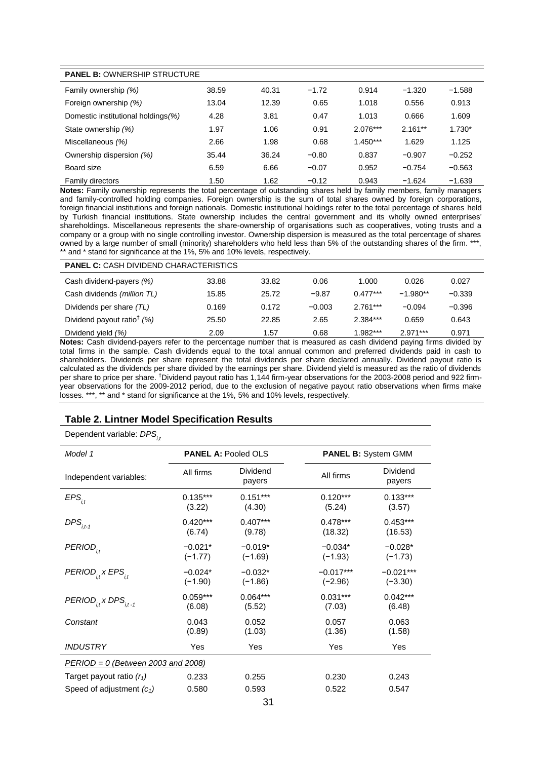| <b>PANEL B: OWNERSHIP STRUCTURE</b> |       |       |         |            |           |          |
|-------------------------------------|-------|-------|---------|------------|-----------|----------|
| Family ownership (%)                | 38.59 | 40.31 | $-1.72$ | 0.914      | $-1.320$  | $-1.588$ |
| Foreign ownership (%)               | 13.04 | 12.39 | 0.65    | 1.018      | 0.556     | 0.913    |
| Domestic institutional holdings (%) | 4.28  | 3.81  | 0.47    | 1.013      | 0.666     | 1.609    |
| State ownership (%)                 | 1.97  | 1.06  | 0.91    | $2.076***$ | $2.161**$ | $1.730*$ |
| Miscellaneous (%)                   | 2.66  | 1.98  | 0.68    | $1.450***$ | 1.629     | 1.125    |
| Ownership dispersion (%)            | 35.44 | 36.24 | $-0.80$ | 0.837      | $-0.907$  | $-0.252$ |
| Board size                          | 6.59  | 6.66  | $-0.07$ | 0.952      | $-0.754$  | $-0.563$ |
| Family directors                    | 1.50  | 1.62  | $-0.12$ | 0.943      | $-1.624$  | $-1.639$ |

**Notes:** Family ownership represents the total percentage of outstanding shares held by family members, family managers and family-controlled holding companies. Foreign ownership is the sum of total shares owned by foreign corporations, foreign financial institutions and foreign nationals. Domestic institutional holdings refer to the total percentage of shares held by Turkish financial institutions. State ownership includes the central government and its wholly owned enterprises' shareholdings. Miscellaneous represents the share-ownership of organisations such as cooperatives, voting trusts and a company or a group with no single controlling investor. Ownership dispersion is measured as the total percentage of shares owned by a large number of small (minority) shareholders who held less than 5% of the outstanding shares of the firm. \*\*\*, \*\* and \* stand for significance at the 1%, 5% and 10% levels, respectively.

| <b>PANEL C: CASH DIVIDEND CHARACTERISTICS</b> |       |       |          |            |            |          |
|-----------------------------------------------|-------|-------|----------|------------|------------|----------|
| Cash dividend-payers (%)                      | 33.88 | 33.82 | 0.06     | 1.000      | 0.026      | 0.027    |
| Cash dividends (million TL)                   | 15.85 | 25.72 | $-9.87$  | $0.477***$ | $-1.980**$ | $-0.339$ |
| Dividends per share $(TL)$                    | 0.169 | 0.172 | $-0.003$ | $2.761***$ | $-0.094$   | $-0.396$ |
| Dividend payout ratio <sup>†</sup> $(%)$      | 25.50 | 22.85 | 2.65     | $2.384***$ | 0.659      | 0.643    |
| Dividend vield (%)                            | 2.09  | 1.57  | 0.68     | $1.982***$ | $2.971***$ | 0.971    |

**Notes:** Cash dividend-payers refer to the percentage number that is measured as cash dividend paying firms divided by total firms in the sample. Cash dividends equal to the total annual common and preferred dividends paid in cash to shareholders. Dividends per share represent the total dividends per share declared annually. Dividend payout ratio is calculated as the dividends per share divided by the earnings per share. Dividend yield is measured as the ratio of dividends per share to price per share. †Dividend payout ratio has 1,144 firm-year observations for the 2003-2008 period and 922 firmyear observations for the 2009-2012 period, due to the exclusion of negative payout ratio observations when firms make losses. \*\*\*, \*\* and \* stand for significance at the 1%, 5% and 10% levels, respectively.

#### **Table 2. Lintner Model Specification Results**

Dependent variable: DPS<sub>i,</sub>

| ı, t                                 |                        |                            |                          |                            |
|--------------------------------------|------------------------|----------------------------|--------------------------|----------------------------|
| Model 1                              |                        | <b>PANEL A: Pooled OLS</b> |                          | <b>PANEL B: System GMM</b> |
| Independent variables:               | All firms              | Dividend<br>payers         | All firms                | Dividend<br>payers         |
| $EPS$ <sub>it</sub>                  | $0.135***$<br>(3.22)   | $0.151***$<br>(4.30)       | $0.120***$<br>(5.24)     | $0.133***$<br>(3.57)       |
| $\textit{DPS}_{_{l,t\text{-}1}}$     | $0.420***$<br>(6.74)   | $0.407***$<br>(9.78)       | $0.478***$<br>(18.32)    | $0.453***$<br>(16.53)      |
| $PERIOD_{i,t}$                       | $-0.021*$<br>$(-1.77)$ | $-0.019*$<br>$(-1.69)$     | $-0.034*$<br>$(-1.93)$   | $-0.028*$<br>$(-1.73)$     |
| $PERIOD_{i,t} \times EPS_{i,t}$      | $-0.024*$<br>$(-1.90)$ | $-0.032*$<br>$(-1.86)$     | $-0.017***$<br>$(-2.96)$ | $-0.021***$<br>$(-3.30)$   |
| $PERIOD_{i,t} \times DPS_{i,t-1}$    | $0.059***$<br>(6.08)   | $0.064***$<br>(5.52)       | $0.031***$<br>(7.03)     | $0.042***$<br>(6.48)       |
| Constant                             | 0.043<br>(0.89)        | 0.052<br>(1.03)            | 0.057<br>(1.36)          | 0.063<br>(1.58)            |
| <i><b>INDUSTRY</b></i>               | Yes                    | Yes                        | Yes                      | Yes                        |
| $PERIOD = 0$ (Between 2003 and 2008) |                        |                            |                          |                            |
| Target payout ratio $(r_1)$          | 0.233                  | 0.255                      | 0.230                    | 0.243                      |
| Speed of adjustment $(c_1)$          | 0.580                  | 0.593                      | 0.522                    | 0.547                      |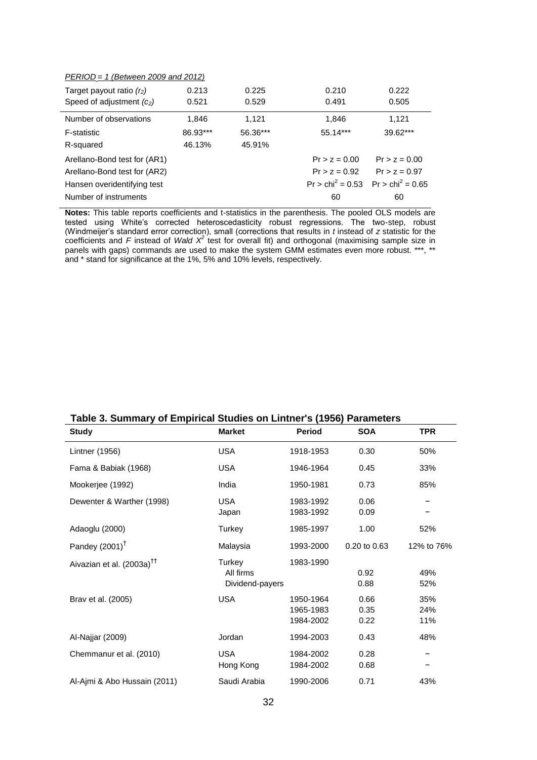## *PERIOD = 1 (Between 2009 and 2012)*

| Target payout ratio $(r2)$   | 0.213    | 0.225    | 0.210           | 0.222                                   |
|------------------------------|----------|----------|-----------------|-----------------------------------------|
| Speed of adjustment $(c_2)$  | 0.521    | 0.529    | 0.491           | 0.505                                   |
| Number of observations       | 1,846    | 1.121    | 1,846           | 1,121                                   |
| F-statistic                  | 86.93*** | 56.36*** | $55.14***$      | 39.62***                                |
| R-squared                    | 46.13%   | 45.91%   |                 |                                         |
| Arellano-Bond test for (AR1) |          |          | $Pr > z = 0.00$ | $Pr > z = 0.00$                         |
| Arellano-Bond test for (AR2) |          |          | $Pr > z = 0.92$ | $Pr > z = 0.97$                         |
| Hansen overidentifying test  |          |          |                 | $Pr > chi^2 = 0.53$ $Pr > chi^2 = 0.65$ |
| Number of instruments        |          |          | 60              | 60                                      |

**Notes:** This table reports coefficients and t-statistics in the parenthesis. The pooled OLS models are tested using White's corrected heteroscedasticity robust regressions. The two-step, robust (Windmeijer's standard error correction), small (corrections that results in *t* instead of *z* statistic for the coefficients and *F* instead of *Wald X<sup>2</sup>* test for overall fit) and orthogonal (maximising sample size in panels with gaps) commands are used to make the system GMM estimates even more robust. \*\*\*, \*\* and \* stand for significance at the 1%, 5% and 10% levels, respectively.

| Table 3. Summary of Empirical Studies on Lintner's (1956) Parameters |  |  |  |  |  |
|----------------------------------------------------------------------|--|--|--|--|--|
|----------------------------------------------------------------------|--|--|--|--|--|

| $\frac{1}{2}$ . Summary Strain private statics on $\frac{1}{2}$<br><b>Study</b> | <b>Market</b>                          | Period                              | <b>SOA</b>           | <b>TPR</b>        |
|---------------------------------------------------------------------------------|----------------------------------------|-------------------------------------|----------------------|-------------------|
| Lintner (1956)                                                                  | <b>USA</b>                             | 1918-1953                           | 0.30                 | 50%               |
| Fama & Babiak (1968)                                                            | <b>USA</b>                             | 1946-1964                           | 0.45                 | 33%               |
| Mookerjee (1992)                                                                | India                                  | 1950-1981                           | 0.73                 | 85%               |
| Dewenter & Warther (1998)                                                       | <b>USA</b><br>Japan                    | 1983-1992<br>1983-1992              | 0.06<br>0.09         |                   |
| Adaoglu (2000)                                                                  | Turkey                                 | 1985-1997                           | 1.00                 | 52%               |
| Pandey $(2001)^{\dagger}$                                                       | Malaysia                               | 1993-2000                           | 0.20 to 0.63         | 12% to 76%        |
| Aivazian et al. (2003a) <sup>††</sup>                                           | Turkey<br>All firms<br>Dividend-payers | 1983-1990                           | 0.92<br>0.88         | 49%<br>52%        |
| Brav et al. (2005)                                                              | <b>USA</b>                             | 1950-1964<br>1965-1983<br>1984-2002 | 0.66<br>0.35<br>0.22 | 35%<br>24%<br>11% |
| Al-Najjar (2009)                                                                | Jordan                                 | 1994-2003                           | 0.43                 | 48%               |
| Chemmanur et al. (2010)                                                         | <b>USA</b><br>Hong Kong                | 1984-2002<br>1984-2002              | 0.28<br>0.68         |                   |
| Al-Ajmi & Abo Hussain (2011)                                                    | Saudi Arabia                           | 1990-2006                           | 0.71                 | 43%               |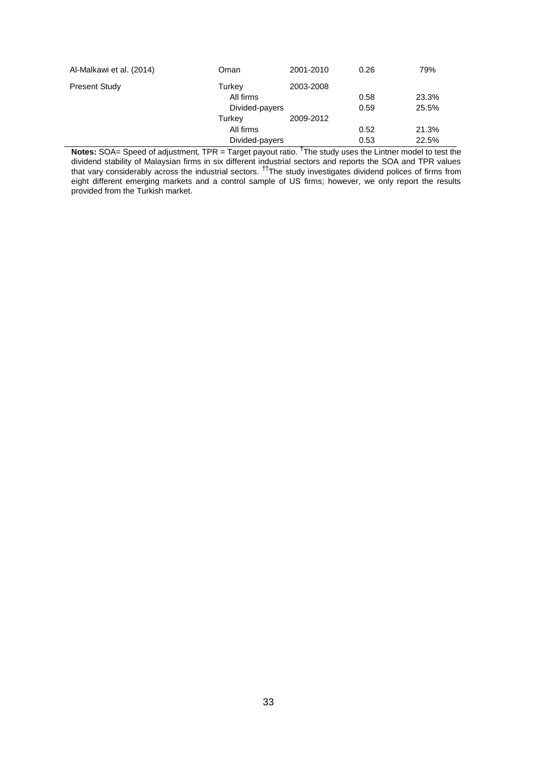| Al-Malkawi et al. (2014) | Oman           | 2001-2010 | 0.26 | 79%   |
|--------------------------|----------------|-----------|------|-------|
| <b>Present Study</b>     | Turkey         | 2003-2008 |      |       |
|                          | All firms      |           | 0.58 | 23.3% |
|                          | Divided-payers |           | 0.59 | 25.5% |
|                          | Turkey         | 2009-2012 |      |       |
|                          | All firms      |           | 0.52 | 21.3% |
|                          | Divided-payers |           | 0.53 | 22.5% |

Notes: SOA= Speed of adjustment, TPR = Target payout ratio. <sup>T</sup>The study uses the Lintner model to test the dividend stability of Malaysian firms in six different industrial sectors and reports the SOA and TPR values that vary considerably across the industrial sectors. <sup>††</sup>The study investigates dividend polices of firms from eight different emerging markets and a control sample of US firms; however, we only report the results provided from the Turkish market.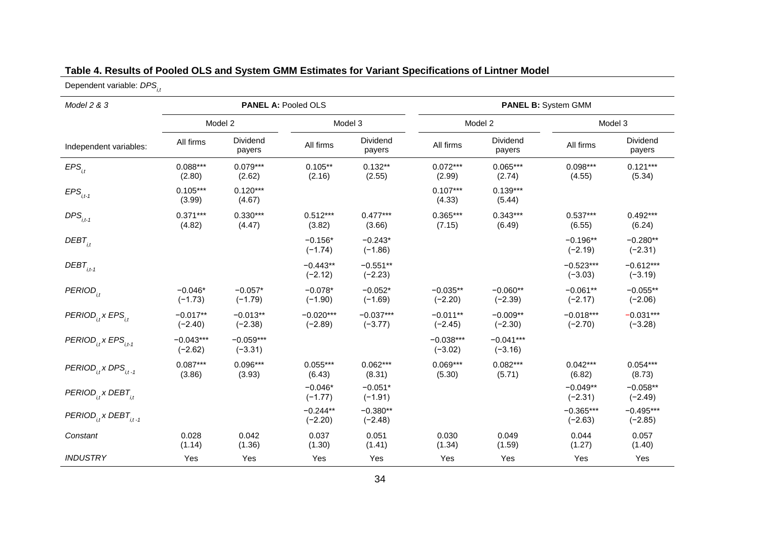## **Table 4. Results of Pooled OLS and System GMM Estimates for Variant Specifications of Lintner Model**

Dependent variable: *DPS*<sub>it</sub>

| Model 2 & 3                       |                          | <b>PANEL A: Pooled OLS</b> |                          |                          | <b>PANEL B: System GMM</b> |                          |                          |                          |  |
|-----------------------------------|--------------------------|----------------------------|--------------------------|--------------------------|----------------------------|--------------------------|--------------------------|--------------------------|--|
|                                   | Model 2                  |                            |                          | Model 3                  |                            | Model 2                  |                          | Model 3                  |  |
| Independent variables:            | All firms                | Dividend<br>payers         | All firms                | Dividend<br>payers       | All firms                  | Dividend<br>payers       | All firms                | Dividend<br>payers       |  |
| $EPS$ <sub>it</sub>               | $0.088***$<br>(2.80)     | $0.079***$<br>(2.62)       | $0.105**$<br>(2.16)      | $0.132**$<br>(2.55)      | $0.072***$<br>(2.99)       | $0.065***$<br>(2.74)     | $0.098***$<br>(4.55)     | $0.121***$<br>(5.34)     |  |
| $EPS_{i,t-1}$                     | $0.105***$<br>(3.99)     | $0.120***$<br>(4.67)       |                          |                          | $0.107***$<br>(4.33)       | $0.139***$<br>(5.44)     |                          |                          |  |
| $\mathit{DPS}_{_{l,t\text{-}1}}$  | $0.371***$<br>(4.82)     | $0.330***$<br>(4.47)       | $0.512***$<br>(3.82)     | $0.477***$<br>(3.66)     | $0.365***$<br>(7.15)       | $0.343***$<br>(6.49)     | $0.537***$<br>(6.55)     | $0.492***$<br>(6.24)     |  |
| $DEBT_{i,t}$                      |                          |                            | $-0.156*$<br>$(-1.74)$   | $-0.243*$<br>$(-1.86)$   |                            |                          | $-0.196**$<br>$(-2.19)$  | $-0.280**$<br>$(-2.31)$  |  |
| $DEBT_{i,t-1}$                    |                          |                            | $-0.443**$<br>$(-2.12)$  | $-0.551**$<br>$(-2.23)$  |                            |                          | $-0.523***$<br>$(-3.03)$ | $-0.612***$<br>$(-3.19)$ |  |
| $PERIOD_{i,t}$                    | $-0.046*$<br>$(-1.73)$   | $-0.057*$<br>$(-1.79)$     | $-0.078*$<br>$(-1.90)$   | $-0.052*$<br>$(-1.69)$   | $-0.035**$<br>$(-2.20)$    | $-0.060**$<br>$(-2.39)$  | $-0.061**$<br>$(-2.17)$  | $-0.055**$<br>$(-2.06)$  |  |
| $PERIOD_{it}$ x EPS $_{it}$       | $-0.017**$<br>$(-2.40)$  | $-0.013**$<br>$(-2.38)$    | $-0.020***$<br>$(-2.89)$ | $-0.037***$<br>$(-3.77)$ | $-0.011**$<br>$(-2.45)$    | $-0.009**$<br>$(-2.30)$  | $-0.018***$<br>$(-2.70)$ | $-0.031***$<br>$(-3.28)$ |  |
| $PERIOD_{i,t} \times EPS_{i,t-1}$ | $-0.043***$<br>$(-2.62)$ | $-0.059***$<br>$(-3.31)$   |                          |                          | $-0.038***$<br>$(-3.02)$   | $-0.041***$<br>$(-3.16)$ |                          |                          |  |
| $PERIOD_{i,t} \times DPS_{i,t-1}$ | $0.087***$<br>(3.86)     | $0.096***$<br>(3.93)       | $0.055***$<br>(6.43)     | $0.062***$<br>(8.31)     | $0.069***$<br>(5.30)       | $0.082***$<br>(5.71)     | $0.042***$<br>(6.82)     | $0.054***$<br>(8.73)     |  |
| $PERIOD_{it} \times DEBT_{it}$    |                          |                            | $-0.046*$<br>$(-1.77)$   | $-0.051*$<br>$(-1.91)$   |                            |                          | $-0.049**$<br>$(-2.31)$  | $-0.058**$<br>$(-2.49)$  |  |
| $PERIOD_{i,t}$ x DEBT $_{i,t-1}$  |                          |                            | $-0.244**$<br>$(-2.20)$  | $-0.380**$<br>$(-2.48)$  |                            |                          | $-0.365***$<br>$(-2.63)$ | $-0.495***$<br>$(-2.85)$ |  |
| Constant                          | 0.028<br>(1.14)          | 0.042<br>(1.36)            | 0.037<br>(1.30)          | 0.051<br>(1.41)          | 0.030<br>(1.34)            | 0.049<br>(1.59)          | 0.044<br>(1.27)          | 0.057<br>(1.40)          |  |
| <b>INDUSTRY</b>                   | Yes                      | Yes                        | Yes                      | Yes                      | Yes                        | Yes                      | Yes                      | Yes                      |  |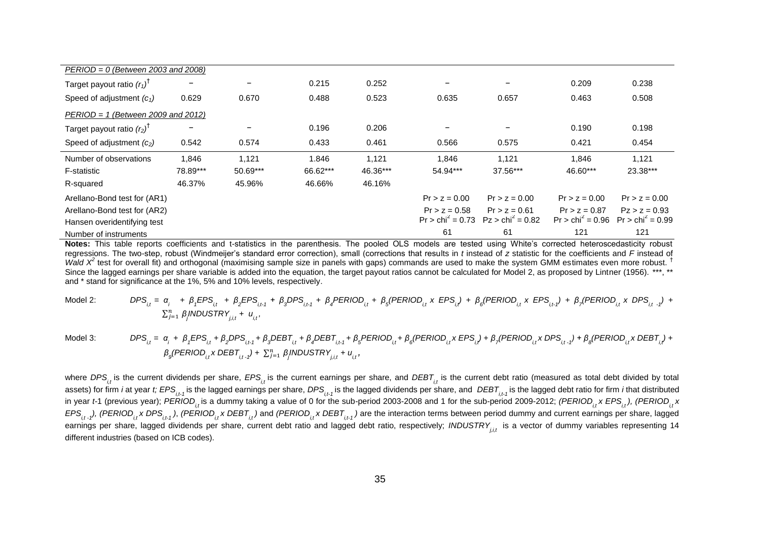| $PERIOD = 0$ (Between 2003 and 2008) |          |          |          |          |                 |                                     |                     |                     |
|--------------------------------------|----------|----------|----------|----------|-----------------|-------------------------------------|---------------------|---------------------|
| Target payout ratio $(r_1)^T$        |          |          | 0.215    | 0.252    |                 | $\overline{\phantom{m}}$            | 0.209               | 0.238               |
| Speed of adjustment $(c_1)$          | 0.629    | 0.670    | 0.488    | 0.523    | 0.635           | 0.657                               | 0.463               | 0.508               |
| $PERIOD = 1$ (Between 2009 and 2012) |          |          |          |          |                 |                                     |                     |                     |
| Target payout ratio $(r_2)^T$        |          |          | 0.196    | 0.206    |                 | $\qquad \qquad \blacksquare$        | 0.190               | 0.198               |
| Speed of adjustment $(c_2)$          | 0.542    | 0.574    | 0.433    | 0.461    | 0.566           | 0.575                               | 0.421               | 0.454               |
| Number of observations               | 1,846    | 1,121    | 1.846    | 1.121    | 1,846           | 1.121                               | 1,846               | 1,121               |
| F-statistic                          | 78.89*** | 50.69*** | 66.62*** | 46.36*** | 54.94***        | 37.56***                            | 46.60***            | 23.38***            |
| R-squared                            | 46.37%   | 45.96%   | 46.66%   | 46.16%   |                 |                                     |                     |                     |
| Arellano-Bond test for (AR1)         |          |          |          |          | $Pr > z = 0.00$ | $Pr > z = 0.00$                     | $Pr > z = 0.00$     | $Pr > z = 0.00$     |
| Arellano-Bond test for (AR2)         |          |          |          |          | $Pr > z = 0.58$ | $Pr > z = 0.61$                     | $Pr > z = 0.87$     | $Pz > z = 0.93$     |
| Hansen overidentifying test          |          |          |          |          |                 | $Pr > ch2 = 0.73$ $Pz > ch2 = 0.82$ | $Pr > chi^2 = 0.96$ | $Pr > chi^2 = 0.99$ |
| Number of instruments                |          |          |          |          | 61              | 61                                  | 121                 | 121                 |

**Notes:** This table reports coefficients and t-statistics in the parenthesis. The pooled OLS models are tested using White's corrected heteroscedasticity robust regressions. The two-step, robust (Windmeijer's standard error correction), small (corrections that results in *t* instead of *z* statistic for the coefficients and *F* instead of Wald  $X^2$  test for overall fit) and orthogonal (maximising sample size in panels with gaps) commands are used to make the system GMM estimates even more robust.<sup>†</sup> Since the lagged earnings per share variable is added into the equation, the target payout ratios cannot be calculated for Model 2, as proposed by Lintner (1956). \*\*\*, \*\* and \* stand for significance at the 1%, 5% and 10% levels, respectively.

Model 2:  $\textit{DPS}_{i,t} = \alpha_i^+ + \beta_i \textit{EPS}_{i,t}^+ + \beta_2 \textit{EPS}_{i,t\text{-}1}^+ + \beta_3 \textit{DPS}_{i,t\text{-}1}^+ + \beta_4 \textit{PERIOD}_{i,t}^+ + \beta_5 (\textit{PERIOD}_{i,t} \times \textit{EPS}_{i,t}^+) + \beta_6 (\textit{PERIOD}_{i,t} \times \textit{EPS}_{i,t\text{-}1}^+) + \beta_7 (\textit{PERIOD}_{i,t} \times \textit{DPS}_{i,t\text{-}1}^+) + \beta_8 (\textit{PERIOD}_{i,t\text{-}1} \times \textit$  $\sum_{j=1}^{n} \beta_j$ *INDUSTRY*<sub>*j,i,t*</sub> + *u*<sub>*i,t</sub>*,</sub>

*M*odel 3: *DPS*<sub>*it*</sub> =

$$
DPS_{i,t} = \alpha_i + \beta_i EPS_{i,t} + \beta_2 DPS_{i,t-1} + \beta_3 DEBT_{i,t} + \beta_4 DEBT_{i,t-1} + \beta_5 PERIOD_{i,t} + \beta_6 (PERIOD_{i,t} \times EPS_{i,t}) + \beta_7 (PERIOD_{i,t} \times DPS_{i,t-1}) + \beta_8 (PERIOD_{i,t} \times DEBT_{i,t}) + \beta_9 (PERIOD_{i,t} \times DEBT_{i,t-1}) + \sum_{i=1}^{n} \beta_i N DUSTRY_{i,t,t} + u_{i,t}
$$

where DPS<sub>*i*</sub>, is the current dividends per share, EPS<sub>*i*</sub>, is the current earnings per share, and DEBT<sub>*i*</sub></sub> is the current debt ratio (measured as total debt divided by total assets) for firm *i* at year t; EPS<sub>it-1</sub> is the lagged earnings per share, DPS<sub>it-1</sub> is the lagged dividends per share, and DEBT<sub>it-1</sub> is the lagged debt ratio for firm *i* that distributed in year t-1 (previous year); PERIOD<sub>1</sub> is a dummy taking a value of 0 for the sub-period 2003-2008 and 1 for the sub-period 2009-2012; (PERIOD<sub>1</sub> x EPS<sub>11</sub>), (PERIOD<sub>1</sub> x  $\textit{EPS}_{i,t}$ -,), (PERIOD<sub>it</sub>x DPS<sub>it-1</sub>), (PERIOD<sub>it</sub>x DEBT<sub>it</sub>) and (PERIOD<sub>it</sub>x DEBT<sub>it-1</sub>) are the interaction terms between period dummy and current earnings per share, lagged earnings per share, lagged dividends per share, current debt ratio and lagged debt ratio, respectively; *INDUSTRY*<sub>*it*</sub> is a vector of dummy variables representing 14 different industries (based on ICB codes).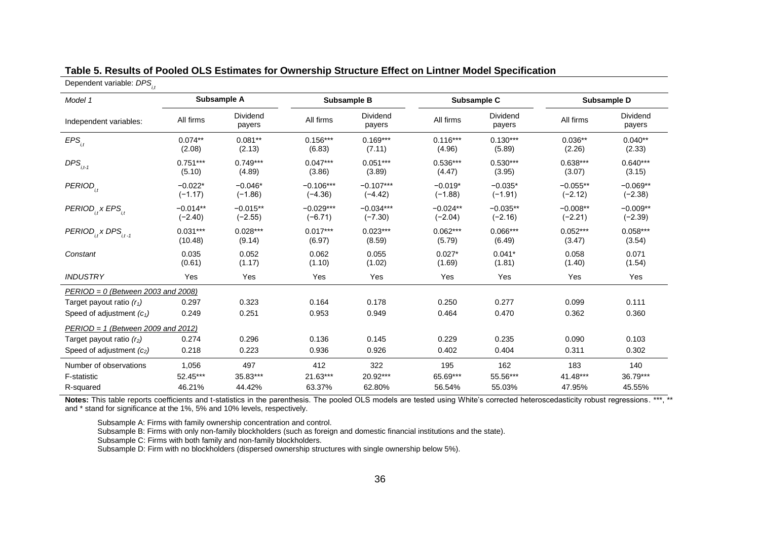| Model 1<br>Independent variables:                          | Subsample A             |                         |                          | Subsample B              | Subsample C             |                           | Subsample D             |                           |
|------------------------------------------------------------|-------------------------|-------------------------|--------------------------|--------------------------|-------------------------|---------------------------|-------------------------|---------------------------|
|                                                            | All firms               | Dividend<br>payers      | All firms                | Dividend<br>payers       | All firms               | <b>Dividend</b><br>payers | All firms               | <b>Dividend</b><br>payers |
| $EPS_{i,t}$                                                | $0.074**$<br>(2.08)     | $0.081**$<br>(2.13)     | $0.156***$<br>(6.83)     | $0.169***$<br>(7.11)     | $0.116***$<br>(4.96)    | $0.130***$<br>(5.89)      | $0.036**$<br>(2.26)     | $0.040**$<br>(2.33)       |
| $\textit{DPS}_{i,t-1}$                                     | $0.751***$<br>(5.10)    | $0.749***$<br>(4.89)    | $0.047***$<br>(3.86)     | $0.051***$<br>(3.89)     | $0.536***$<br>(4.47)    | $0.530***$<br>(3.95)      | $0.638***$<br>(3.07)    | $0.640***$<br>(3.15)      |
| $PERIOD_{i,t}$                                             | $-0.022*$<br>$(-1.17)$  | $-0.046*$<br>$(-1.86)$  | $-0.106***$<br>$(-4.36)$ | $-0.107***$<br>$(-4.42)$ | $-0.019*$<br>$(-1.88)$  | $-0.035*$<br>$(-1.91)$    | $-0.055**$<br>$(-2.12)$ | $-0.069**$<br>$(-2.38)$   |
| PERIOD <sub>i,t</sub> x EPS <sub>i,t</sub>                 | $-0.014**$<br>$(-2.40)$ | $-0.015**$<br>$(-2.55)$ | $-0.029***$<br>$(-6.71)$ | $-0.034***$<br>$(-7.30)$ | $-0.024**$<br>$(-2.04)$ | $-0.035**$<br>$(-2.16)$   | $-0.008**$<br>$(-2.21)$ | $-0.009**$<br>$(-2.39)$   |
| $PERIOD_{i,t} \times DPS_{i,t-1}$                          | $0.031***$<br>(10.48)   | $0.028***$<br>(9.14)    | $0.017***$<br>(6.97)     | $0.023***$<br>(8.59)     | $0.062***$<br>(5.79)    | $0.066***$<br>(6.49)      | $0.052***$<br>(3.47)    | $0.058***$<br>(3.54)      |
| Constant                                                   | 0.035<br>(0.61)         | 0.052<br>(1.17)         | 0.062<br>(1.10)          | 0.055<br>(1.02)          | $0.027*$<br>(1.69)      | $0.041*$<br>(1.81)        | 0.058<br>(1.40)         | 0.071<br>(1.54)           |
| <b>INDUSTRY</b>                                            | Yes                     | Yes                     | Yes                      | Yes                      | Yes                     | Yes                       | Yes                     | Yes                       |
| $PERIOD = 0$ (Between 2003 and 2008)                       |                         |                         |                          |                          |                         |                           |                         |                           |
| Target payout ratio $(r_1)$<br>Speed of adjustment $(c_1)$ | 0.297<br>0.249          | 0.323<br>0.251          | 0.164<br>0.953           | 0.178<br>0.949           | 0.250<br>0.464          | 0.277<br>0.470            | 0.099<br>0.362          | 0.111<br>0.360            |
| $PERIOD = 1$ (Between 2009 and 2012)                       |                         |                         |                          |                          |                         |                           |                         |                           |
| Target payout ratio $(r2)$                                 | 0.274                   | 0.296                   | 0.136                    | 0.145                    | 0.229                   | 0.235                     | 0.090                   | 0.103                     |
| Speed of adjustment $(c_2)$                                | 0.218                   | 0.223                   | 0.936                    | 0.926                    | 0.402                   | 0.404                     | 0.311                   | 0.302                     |
| Number of observations                                     | 1,056                   | 497                     | 412                      | 322                      | 195                     | 162                       | 183                     | 140                       |
| F-statistic                                                | 52.45***                | 35.83***                | 21.63***                 | 20.92***                 | 65.69***                | 55.56***                  | 41.48***                | 36.79***                  |
| R-squared                                                  | 46.21%                  | 44.42%                  | 63.37%                   | 62.80%                   | 56.54%                  | 55.03%                    | 47.95%                  | 45.55%                    |

## **Table 5. Results of Pooled OLS Estimates for Ownership Structure Effect on Lintner Model Specification**

Dependent variable: DPS<sub>*i*</sub>

Notes: This table reports coefficients and t-statistics in the parenthesis. The pooled OLS models are tested using White's corrected heteroscedasticity robust regressions. \*\*\*, \*\* and \* stand for significance at the 1%, 5% and 10% levels, respectively.

Subsample A: Firms with family ownership concentration and control.

Subsample B: Firms with only non-family blockholders (such as foreign and domestic financial institutions and the state).

Subsample C: Firms with both family and non-family blockholders.

Subsample D: Firm with no blockholders (dispersed ownership structures with single ownership below 5%).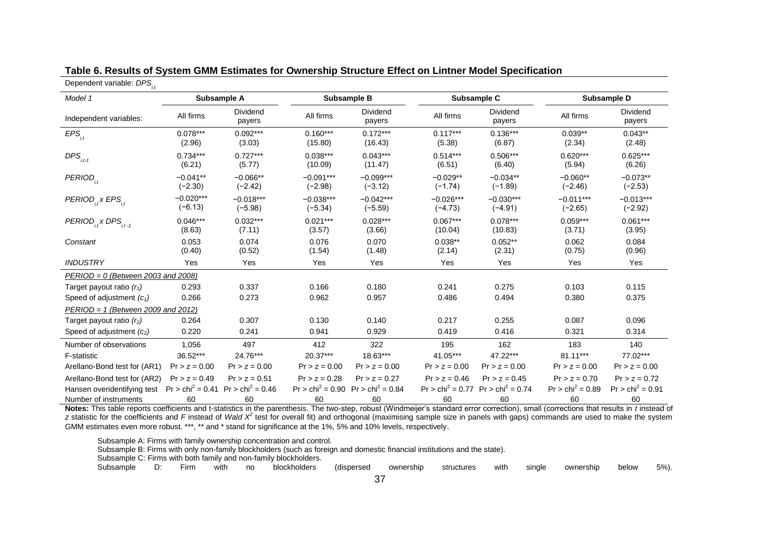| Model 1                                                             | Subsample A              |                           |                          | Subsample B              |                          | Subsample C              | Subsample D              |                           |  |
|---------------------------------------------------------------------|--------------------------|---------------------------|--------------------------|--------------------------|--------------------------|--------------------------|--------------------------|---------------------------|--|
| Independent variables:                                              | All firms                | <b>Dividend</b><br>payers | All firms                | Dividend<br>payers       | All firms                | Dividend<br>payers       | All firms                | <b>Dividend</b><br>payers |  |
| $EPS$ <sub>it</sub>                                                 | $0.078***$<br>(2.96)     | $0.092***$<br>(3.03)      | $0.160***$<br>(15.80)    | $0.172***$<br>(16.43)    | $0.117***$<br>(5.38)     | $0.136***$<br>(6.87)     | $0.039**$<br>(2.34)      | $0.043**$<br>(2.48)       |  |
| $\textit{DPS}_{_{l,t-1}}$                                           | $0.734***$<br>(6.21)     | $0.727***$<br>(5.77)      | $0.038***$<br>(10.09)    | $0.043***$<br>(11.47)    | $0.514***$<br>(6.51)     | $0.506***$<br>(6.40)     | $0.620***$<br>(5.94)     | $0.625***$<br>(6.26)      |  |
| $PERIOD_{i,t}$                                                      | $-0.041**$<br>$(-2.30)$  | $-0.066**$<br>$(-2.42)$   | $-0.091***$<br>$(-2.98)$ | $-0.099***$<br>$(-3.12)$ | $-0.029**$<br>$(-1.74)$  | $-0.034**$<br>$(-1.89)$  | $-0.060**$<br>$(-2.46)$  | $-0.073**$<br>$(-2.53)$   |  |
| $PERIOD_{i,t} \times EPS_{i,t}$                                     | $-0.020***$<br>$(-6.13)$ | $-0.018***$<br>$(-5.98)$  | $-0.038***$<br>$(-5.34)$ | $-0.042***$<br>$(-5.59)$ | $-0.026***$<br>$(-4.73)$ | $-0.030***$<br>$(-4.91)$ | $-0.011***$<br>$(-2.65)$ | $-0.013***$<br>$(-2.92)$  |  |
| $PERIOD_{i,t} \times DPS_{i,t-1}$                                   | $0.046***$<br>(8.63)     | $0.032***$<br>(7.11)      | $0.021***$<br>(3.57)     | $0.028***$<br>(3.66)     | $0.067***$<br>(10.04)    | $0.078***$<br>(10.83)    | $0.059***$<br>(3.71)     | $0.061***$<br>(3.95)      |  |
| Constant                                                            | 0.053<br>(0.40)          | 0.074<br>(0.52)           | 0.076<br>(1.54)          | 0.070<br>(1.48)          | $0.038**$<br>(2.14)      | $0.052**$<br>(2.31)      | 0.062<br>(0.75)          | 0.084<br>(0.96)           |  |
| <b>INDUSTRY</b>                                                     | Yes                      | Yes                       | Yes                      | Yes                      | Yes                      | Yes                      | Yes                      | Yes                       |  |
| $PERIOD = 0$ (Between 2003 and 2008)                                |                          |                           |                          |                          |                          |                          |                          |                           |  |
| Target payout ratio $(r_1)$                                         | 0.293                    | 0.337                     | 0.166                    | 0.180                    | 0.241                    | 0.275                    | 0.103                    | 0.115                     |  |
| Speed of adjustment $(c_1)$                                         | 0.266                    | 0.273                     | 0.962                    | 0.957                    | 0.486                    | 0.494                    | 0.380                    | 0.375                     |  |
| $PERIOD = 1 (Between 2009 and 2012)$                                |                          |                           |                          |                          |                          |                          |                          |                           |  |
| Target payout ratio $(r2)$                                          | 0.264                    | 0.307                     | 0.130                    | 0.140                    | 0.217                    | 0.255                    | 0.087                    | 0.096                     |  |
| Speed of adjustment $(c_2)$                                         | 0.220                    | 0.241                     | 0.941                    | 0.929                    | 0.419                    | 0.416                    | 0.321                    | 0.314                     |  |
| Number of observations                                              | 1,056                    | 497                       | 412                      | 322                      | 195                      | 162                      | 183                      | 140                       |  |
| F-statistic                                                         | 36.52***                 | 24.76***                  | 20.37***                 | 18.63***                 | 41.05***                 | 47.22***                 | $81.11***$               | 77.02***                  |  |
| Arellano-Bond test for (AR1)                                        | $Pr > z = 0.00$          | $Pr > z = 0.00$           | $Pr > z = 0.00$          | $Pr > z = 0.00$          | $Pr > z = 0.00$          | $Pr > z = 0.00$          | $Pr > z = 0.00$          | $Pr > z = 0.00$           |  |
| Arellano-Bond test for (AR2)                                        | $Pr > z = 0.49$          | $Pr > z = 0.51$           | $Pr > z = 0.28$          | $Pr > z = 0.27$          | $Pr > z = 0.46$          | $Pr > z = 0.45$          | $Pr > z = 0.70$          | $Pr > z = 0.72$           |  |
| Hansen overidentifying test $Pr > chi^2 = 0.41$ $Pr > chi^2 = 0.46$ |                          |                           | $Pr > chi^2 = 0.90$      | $Pr > chi^2 = 0.84$      | $Pr > chi^2 = 0.77$      | $Pr > chi^2 = 0.74$      | $Pr > chi^2 = 0.89$      | $Pr > chi^2 = 0.91$       |  |
| Number of instruments                                               | 60                       | 60                        | 60                       | 60                       | 60                       | 60                       | 60                       | 60                        |  |

**Table 6. Results of System GMM Estimates for Ownership Structure Effect on Lintner Model Specification**

Subsample A: Firms with family ownership concentration and control.

Dependent variable: DPS<sub>*i*</sub>

Subsample B: Firms with only non-family blockholders (such as foreign and domestic financial institutions and the state).

GMM estimates even more robust. \*\*\*, \*\* and \* stand for significance at the 1%, 5% and 10% levels, respectively.

Subsample C: Firms with both family and non-family blockholders.<br>Subsample D: Firm with no blockholders

Subsample D: Firm with no blockholders (dispersed ownership structures with single ownership below 5%).

**Notes:** This table reports coefficients and t-statistics in the parenthesis. The two-step, robust (Windmeijer's standard error correction), small (corrections that results in *t* instead of z statistic for the coefficients and F instead of *Wald X<sup>2</sup>* test for overall fit) and orthogonal (maximising sample size in panels with gaps) commands are used to make the system